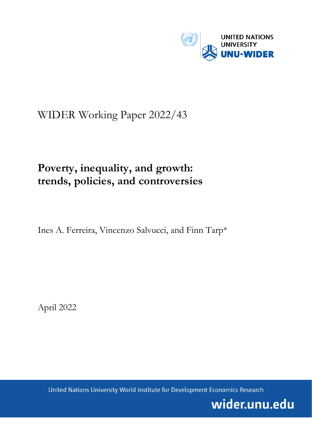

# WIDER Working Paper 2022/43

# **Poverty, inequality, and growth: trends, policies, and controversies**

Ines A. Ferreira, Vincenzo Salvucci, and Finn Tarp\*

April 2022

United Nations University World Institute for Development Economics Research

wider.unu.edu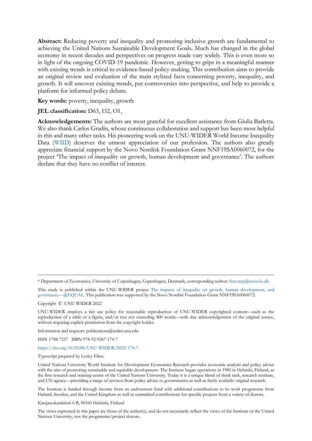**Abstract:** Reducing poverty and inequality and promoting inclusive growth are fundamental to achieving the United Nations Sustainable Development Goals. Much has changed in the global economy in recent decades and perspectives on progress made vary widely. This is even more so in light of the ongoing COVID-19 pandemic. However, getting to grips in a meaningful manner with existing trends is critical to evidence-based policy-making. This contribution aims to provide an original review and evaluation of the main stylized facts concerning poverty, inequality, and growth. It will uncover existing trends, put controversies into perspective, and help to provide a platform for informed policy debate.

**Key words:** poverty, inequality, growth

#### **JEL classification:** D63, I32, O1,

**Acknowledgements:** The authors are most grateful for excellent assistance from Giulia Barletta. We also thank Carlos Gradín, whose continuous collaboration and support has been most helpful in this and many other tasks. His pioneering work on the UNU-WIDER World Income Inequality Data [\(WIID\)](https://www.wider.unu.edu/project/wiid-%E2%80%93-world-income-inequality-database) deserves the utmost appreciation of our profession. The authors also greatly appreciate financial support by the Novo Nordisk Foundation Grant NNF19SA0060072, for the project 'The impact of inequality on growth, human development and governance'. The authors declare that they have no conflict of interest.

This study is published within the UNU-WIDER project [The impacts of inequality on growth, human development, and](https://www.wider.unu.edu/node/236999)  [governance—@EQUAL.](https://www.wider.unu.edu/node/236999) This publication was supported by the Novo Nordisk Foundation Grant NNF19SA0060072.

Copyright © UNU-WIDER 2022

Information and requests: publications@wider.unu.edu

ISSN 1798-7237 ISBN 978-92-9267-174-7

<https://doi.org/10.35188/UNU-WIDER/2022/174-7>

Typescript prepared by Lesley Ellen.

The Institute is funded through income from an endowment fund with additional contributions to its work programme from Finland, Sweden, and the United Kingdom as well as earmarked contributions for specific projects from a variety of donors.

Katajanokanlaituri 6 B, 00160 Helsinki, Finland

The views expressed in this paper are those of the author(s), and do not necessarily reflect the views of the Institute or the United Nations University, nor the programme/project donors.

<sup>\*</sup> Department of Economics, University of Copenhagen, Copenhagen, Denmark, corresponding author: [finn.tarp@econ.ku.dk](mailto:finn.tarp@econ.ku.dk)

UNU-WIDER employs a fair use policy for reasonable reproduction of UNU-WIDER copyrighted content—such as the reproduction of a table or a figure, and/or text not exceeding 400 words—with due acknowledgement of the original source, without requiring explicit permission from the copyright holder.

United Nations University World Institute for Development Economics Research provides economic analysis and policy advice with the aim of promoting sustainable and equitable development. The Institute began operations in 1985 in Helsinki, Finland, as the first research and training centre of the United Nations University. Today it is a unique blend of think tank, research institute, and UN agency—providing a range of services from policy advice to governments as well as freely available original research.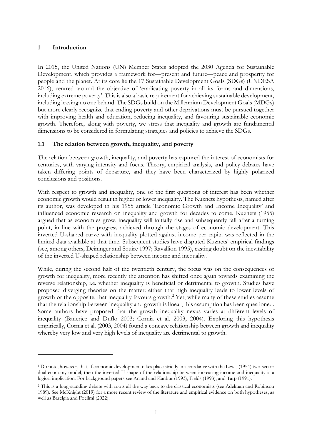# **1 Introduction**

In 2015, the United Nations (UN) Member States adopted the 2030 Agenda for Sustainable Development, which provides a framework for—present and future—peace and prosperity for people and the planet. At its core lie the 17 Sustainable Development Goals (SDGs) (UNDESA 2016), centred around the objective of 'eradicating poverty in all its forms and dimensions, including extreme poverty'. This is also a basic requirement for achieving sustainable development, including leaving no one behind. The SDGs build on the Millennium Development Goals (MDGs) but more clearly recognize that ending poverty and other deprivations must be pursued together with improving health and education, reducing inequality, and favouring sustainable economic growth. Therefore, along with poverty, we stress that inequality and growth are fundamental dimensions to be considered in formulating strategies and policies to achieve the SDGs.

# **1.1 The relation between growth, inequality, and poverty**

The relation between growth, inequality, and poverty has captured the interest of economists for centuries, with varying intensity and focus. Theory, empirical analysis, and policy debates have taken differing points of departure, and they have been characterized by highly polarized conclusions and positions.

With respect to growth and inequality, one of the first questions of interest has been whether economic growth would result in higher or lower inequality. The Kuznets hypothesis, named after its author, was developed in his 1955 article 'Economic Growth and Income Inequality' and influenced economic research on inequality and growth for decades to come. Kuznets (1955) argued that as economies grow, inequality will initially rise and subsequently fall after a turning point, in line with the progress achieved through the stages of economic development. This inverted U-shaped curve with inequality plotted against income per capita was reflected in the limited data available at that time. Subsequent studies have disputed Kuznets' empirical findings (see, among others, Deininger and Squire 1997; Ravallion 1995), casting doubt on the inevitability of the inverted U-shaped relationship between income and inequality.[1](#page-2-0)

While, during the second half of the twentieth century, the focus was on the consequences of growth for inequality, more recently the attention has shifted once again towards examining the reverse relationship, i.e. whether inequality is beneficial or detrimental to growth. Studies have proposed diverging theories on the matter: either that high inequality leads to lower levels of growth or the opposite, that inequality favours growth.[2](#page-2-1) Yet, while many of these studies assume that the relationship between inequality and growth is linear, this assumption has been questioned. Some authors have proposed that the growth–inequality nexus varies at different levels of inequality (Banerjee and Duflo 2003; Cornia et al. 2003, 2004). Exploring this hypothesis empirically, Cornia et al. (2003, 2004) found a concave relationship between growth and inequality whereby very low and very high levels of inequality are detrimental to growth.

<span id="page-2-0"></span><sup>1</sup> Do note, however, that, if economic development takes place strictly in accordance with the Lewis (1954) two-sector dual economy model, then the inverted U-shape of the relationship between increasing income and inequality is a logical implication. For background papers see Anand and Kanbur (1993), Fields (1993), and Tarp (1991).

<span id="page-2-1"></span><sup>2</sup> This is a long-standing debate with roots all the way back to the classical economists (see Adelman and Robinson 1989). See McKnight (2019) for a more recent review of the literature and empirical evidence on both hypotheses, as well as Baselgia and Foellmi (2022).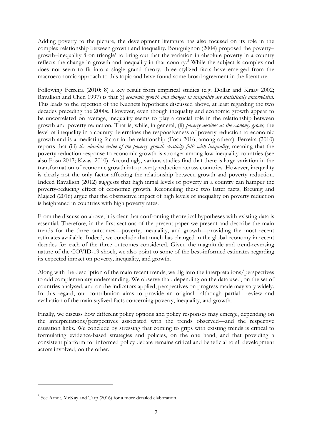Adding poverty to the picture, the development literature has also focused on its role in the complex relationship between growth and inequality. Bourguignon (2004) proposed the poverty– growth–inequality 'iron triangle' to bring out that the variation in absolute poverty in a country reflects the change in growth and inequality in that country.[3](#page-3-0) While the subject is complex and does not seem to fit into a single grand theory, three stylized facts have emerged from the macroeconomic approach to this topic and have found some broad agreement in the literature.

Following Ferreira (2010: 8) a key result from empirical studies (e.g. Dollar and Kraay 2002; Ravallion and Chen 1997) is that (i) *economic growth and changes in inequality are statistically uncorrelated*. This leads to the rejection of the Kuznets hypothesis discussed above, at least regarding the two decades preceding the 2000s. However, even though inequality and economic growth appear to be uncorrelated on average, inequality seems to play a crucial role in the relationship between growth and poverty reduction. That is, while, in general, (ii) *poverty declines as the economy grows,* the level of inequality in a country determines the responsiveness of poverty reduction to economic growth and is a mediating factor in the relationship (Fosu 2016, among others). Ferreira (2010) reports that (iii) *the absolute value of the poverty–growth elasticity falls with inequality*, meaning that the poverty reduction response to economic growth is stronger among low-inequality countries (see also Fosu 2017; Kwasi 2010). Accordingly, various studies find that there is large variation in the transformation of economic growth into poverty reduction across countries. However, inequality is clearly not the only factor affecting the relationship between growth and poverty reduction. Indeed Ravallion (2012) suggests that high initial levels of poverty in a country can hamper the poverty-reducing effect of economic growth. Reconciling these two latter facts, Breunig and Majeed (2016) argue that the obstructive impact of high levels of inequality on poverty reduction is heightened in countries with high poverty rates.

From the discussion above, it is clear that confronting theoretical hypotheses with existing data is essential. Therefore, in the first sections of the present paper we present and describe the main trends for the three outcomes—poverty, inequality, and growth—providing the most recent estimates available. Indeed, we conclude that much has changed in the global economy in recent decades for each of the three outcomes considered. Given the magnitude and trend-reversing nature of the COVID-19 shock, we also point to some of the best-informed estimates regarding its expected impact on poverty, inequality, and growth.

Along with the description of the main recent trends, we dig into the interpretations/perspectives to add complementary understanding. We observe that, depending on the data used, on the set of countries analysed, and on the indicators applied, perspectives on progress made may vary widely. In this regard, our contribution aims to provide an original—although partial—review and evaluation of the main stylized facts concerning poverty, inequality, and growth.

Finally, we discuss how different policy options and policy responses may emerge, depending on the interpretations/perspectives associated with the trends observed—and the respective causation links. We conclude by stressing that coming to grips with existing trends is critical to formulating evidence-based strategies and policies, on the one hand, and that providing a consistent platform for informed policy debate remains critical and beneficial to all development actors involved, on the other.

<span id="page-3-0"></span> $3$  See Arndt, McKay and Tarp (2016) for a more detailed elaboration.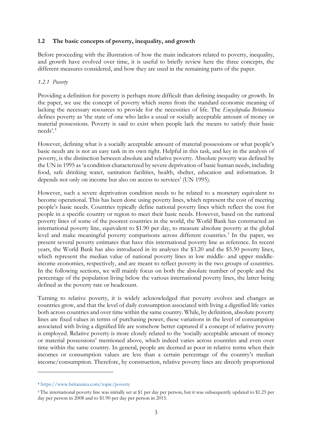#### **1.2 The basic concepts of poverty, inequality, and growth**

Before proceeding with the illustration of how the main indicators related to poverty, inequality, and growth have evolved over time, it is useful to briefly review here the three concepts, the different measures considered, and how they are used in the remaining parts of the paper.

#### *1.2.1 Poverty*

Providing a definition for poverty is perhaps more difficult than defining inequality or growth. In the paper, we use the concept of poverty which stems from the standard economic meaning of lacking the necessary resources to provide for the necessities of life. The *Encyclopedia Britannica* defines poverty as 'the state of one who lacks a usual or socially acceptable amount of money or material possessions. Poverty is said to exist when people lack the means to satisfy their basic needs'. [4](#page-4-0)

However, defining what is a socially acceptable amount of material possessions or what people's basic needs are is not an easy task in its own right. Helpful in this task, and key in the analysis of poverty, is the distinction between absolute and relative poverty. Absolute poverty was defined by the UN in 1995 as 'a condition characterized by severe deprivation of basic human needs, including food, safe drinking water, sanitation facilities, health, shelter, education and information. It depends not only on income but also on access to services' (UN 1995).

However, such a severe deprivation condition needs to be related to a monetary equivalent to become operational. This has been done using poverty lines, which represent the cost of meeting people's basic needs. Countries typically define national poverty lines which reflect the cost for people in a specific country or region to meet their basic needs. However, based on the national poverty lines of some of the poorest countries in the world, the World Bank has constructed an international poverty line, equivalent to \$1.90 per day, to measure absolute poverty at the global level and make meaningful poverty comparisons across different countries.<sup>[5](#page-4-1)</sup> In the paper, we present several poverty estimates that have this international poverty line as reference. In recent years, the World Bank has also introduced in its analyses the \$3.20 and the \$5.50 poverty lines, which represent the median value of national poverty lines in low middle- and upper middleincome economies, respectively, and are meant to reflect poverty in the two groups of countries. In the following sections, we will mainly focus on both the absolute number of people and the percentage of the population living below the various international poverty lines, the latter being defined as the poverty rate or headcount.

Turning to relative poverty, it is widely acknowledged that poverty evolves and changes as countries grow, and that the level of daily consumption associated with living a dignified life varies both across countries and over time within the same country. While, by definition, absolute poverty lines are fixed values in terms of purchasing power, these variations in the level of consumption associated with living a dignified life are somehow better captured if a concept of relative poverty is employed. Relative poverty is more closely related to the 'socially acceptable amount of money or material possessions' mentioned above, which indeed varies across countries and even over time within the same country. In general, people are deemed as poor in relative terms when their incomes or consumption values are less than a certain percentage of the country's median income/consumption. Therefore, by construction, relative poverty lines are directly proportional

<span id="page-4-0"></span><sup>4</sup> <https://www.britannica.com/topic/poverty>

<span id="page-4-1"></span><sup>5</sup> The international poverty line was initially set at \$1 per day per person, but it was subsequently updated to \$1.25 per day per person in 2008 and to \$1.90 per day per person in 2015.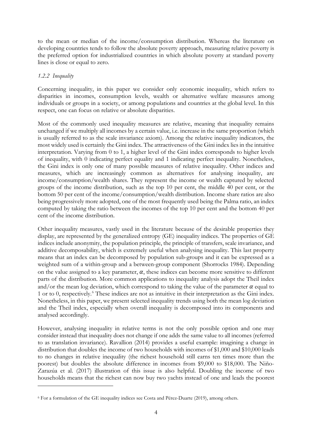to the mean or median of the income/consumption distribution. Whereas the literature on developing countries tends to follow the absolute poverty approach, measuring relative poverty is the preferred option for industrialized countries in which absolute poverty at standard poverty lines is close or equal to zero.

## *1.2.2 Inequality*

Concerning inequality, in this paper we consider only economic inequality, which refers to disparities in incomes, consumption levels, wealth or alternative welfare measures among individuals or groups in a society, or among populations and countries at the global level. In this respect, one can focus on relative or absolute disparities.

Most of the commonly used inequality measures are relative, meaning that inequality remains unchanged if we multiply all incomes by a certain value, i.e. increase in the same proportion (which is usually referred to as the scale invariance axiom). Among the relative inequality indicators, the most widely used is certainly the Gini index. The attractiveness of the Gini index lies in the intuitive interpretation. Varying from 0 to 1, a higher level of the Gini index corresponds to higher levels of inequality, with 0 indicating perfect equality and 1 indicating perfect inequality. Nonetheless, the Gini index is only one of many possible measures of relative inequality. Other indices and measures, which are increasingly common as alternatives for analysing inequality, are income/consumption/wealth shares. They represent the income or wealth captured by selected groups of the income distribution, such as the top 10 per cent, the middle 40 per cent, or the bottom 50 per cent of the income/consumption/wealth distribution. Income share ratios are also being progressively more adopted, one of the most frequently used being the Palma ratio, an index computed by taking the ratio between the incomes of the top 10 per cent and the bottom 40 per cent of the income distribution.

Other inequality measures, vastly used in the literature because of the desirable properties they display, are represented by the generalized entropy (GE) inequality indices. The properties of GE indices include anonymity, the population principle, the principle of transfers, scale invariance, and additive decomposability, which is extremely useful when analysing inequality. This last property means that an index can be decomposed by population sub-groups and it can be expressed as a weighted sum of a within-group and a between-group component (Shorrocks 1984). Depending on the value assigned to a key parameter,  $\alpha$ , these indices can become more sensitive to different parts of the distribution. More common applications to inequality analysis adopt the Theil index and/or the mean log deviation, which correspond to taking the value of the parameter  $\alpha$  equal to 1 or to 0, respectively.[6](#page-5-0) These indices are not as intuitive in their interpretation as the Gini index. Nonetheless, in this paper, we present selected inequality trends using both the mean log deviation and the Theil index, especially when overall inequality is decomposed into its components and analysed accordingly.

However, analysing inequality in relative terms is not the only possible option and one may consider instead that inequality does not change if one adds the same value to all incomes (referred to as translation invariance). Ravallion (2014) provides a useful example: imagining a change in distribution that doubles the income of two households with incomes of \$1,000 and \$10,000 leads to no changes in relative inequality (the richest household still earns ten times more than the poorest) but doubles the absolute difference in incomes from \$9,000 to \$18,000. The Niño-Zarazúa et al. (2017) illustration of this issue is also helpful. Doubling the income of two households means that the richest can now buy two yachts instead of one and leads the poorest

<span id="page-5-0"></span><sup>6</sup> For a formulation of the GE inequality indices see Costa and Pérez-Duarte (2019), among others.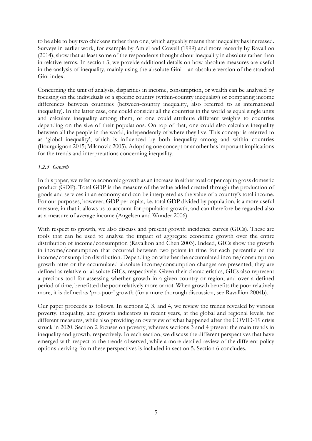to be able to buy two chickens rather than one, which arguably means that inequality has increased. Surveys in earlier work, for example by Amiel and Cowell (1999) and more recently by Ravallion (2014), show that at least some of the respondents thought about inequality in absolute rather than in relative terms. In section 3, we provide additional details on how absolute measures are useful in the analysis of inequality, mainly using the absolute Gini—an absolute version of the standard Gini index.

Concerning the unit of analysis, disparities in income, consumption, or wealth can be analysed by focusing on the individuals of a specific country (within-country inequality) or comparing income differences between countries (between-country inequality, also referred to as international inequality). In the latter case, one could consider all the countries in the world as equal single units and calculate inequality among them, or one could attribute different weights to countries depending on the size of their populations. On top of that, one could also calculate inequality between all the people in the world, independently of where they live. This concept is referred to as 'global inequality', which is influenced by both inequality among and within countries (Bourguignon 2015; Milanovic 2005). Adopting one concept or another has important implications for the trends and interpretations concerning inequality.

## *1.2.3 Growth*

In this paper, we refer to economic growth as an increase in either total or per capita gross domestic product (GDP). Total GDP is the measure of the value added created through the production of goods and services in an economy and can be interpreted as the value of a country's total income. For our purposes, however, GDP per capita, i.e. total GDP divided by population, is a more useful measure, in that it allows us to account for population growth, and can therefore be regarded also as a measure of average income (Angelsen and Wunder 2006).

With respect to growth, we also discuss and present growth incidence curves (GICs). These are tools that can be used to analyse the impact of aggregate economic growth over the entire distribution of income/consumption (Ravallion and Chen 2003). Indeed, GICs show the growth in income/consumption that occurred between two points in time for each percentile of the income/consumption distribution. Depending on whether the accumulated income/consumption growth rates or the accumulated absolute income/consumption changes are presented, they are defined as relative or absolute GICs, respectively. Given their characteristics, GICs also represent a precious tool for assessing whether growth in a given country or region, and over a defined period of time, benefitted the poor relatively more or not. When growth benefits the poor relatively more, it is defined as 'pro-poor' growth (for a more thorough discussion, see Ravallion 2004b).

Our paper proceeds as follows. In sections 2, 3, and 4, we review the trends revealed by various poverty, inequality, and growth indicators in recent years, at the global and regional levels, for different measures, while also providing an overview of what happened after the COVID-19 crisis struck in 2020. Section 2 focuses on poverty, whereas sections 3 and 4 present the main trends in inequality and growth, respectively. In each section, we discuss the different perspectives that have emerged with respect to the trends observed, while a more detailed review of the different policy options deriving from these perspectives is included in section 5. Section 6 concludes.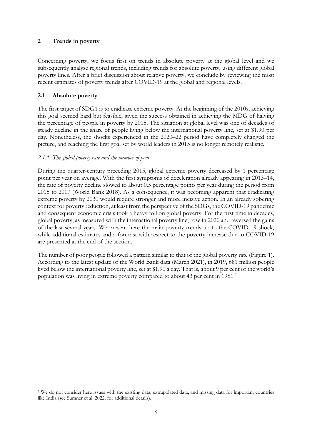# **2 Trends in poverty**

Concerning poverty, we focus first on trends in absolute poverty at the global level and we subsequently analyse regional trends, including trends for absolute poverty, using different global poverty lines. After a brief discussion about relative poverty, we conclude by reviewing the most recent estimates of poverty trends after COVID-19 at the global and regional levels.

# **2.1 Absolute poverty**

The first target of SDG1 is to eradicate extreme poverty. At the beginning of the 2010s, achieving this goal seemed hard but feasible, given the success obtained in achieving the MDG of halving the percentage of people in poverty by 2015. The situation at global level was one of decades of steady decline in the share of people living below the international poverty line, set at \$1.90 per day. Nonetheless, the shocks experienced in the 2020–22 period have completely changed the picture, and reaching the first goal set by world leaders in 2015 is no longer remotely realistic.

# *2.1.1 The global poverty rate and the number of poor*

During the quarter-century preceding 2015, global extreme poverty decreased by 1 percentage point per year on average. With the first symptoms of deceleration already appearing in 2013–14, the rate of poverty decline slowed to about 0.5 percentage points per year during the period from 2015 to 2017 (World Bank 2018). As a consequence, it was becoming apparent that eradicating extreme poverty by 2030 would require stronger and more incisive action. In an already sobering context for poverty reduction, at least from the perspective of the SDGs, the COVID-19 pandemic and consequent economic crisis took a heavy toll on global poverty. For the first time in decades, global poverty, as measured with the international poverty line, rose in 2020 and reversed the gains of the last several years. We present here the main poverty trends up to the COVID-19 shock, while additional estimates and a forecast with respect to the poverty increase due to COVID-19 are presented at the end of the section.

The number of poor people followed a pattern similar to that of the global poverty rate (Figure 1). According to the latest update of the World Bank data (March 2021), in 2019, 681 million people lived below the international poverty line, set at \$1.90 a day. That is, about 9 per cent of the world's population was living in extreme poverty compared to about 43 per cent in 1981[.7](#page-7-0)

<span id="page-7-0"></span><sup>7</sup> We do not consider here issues with the existing data, extrapolated data, and missing data for important countries like India (see Sumner et al. 2022, for additional details).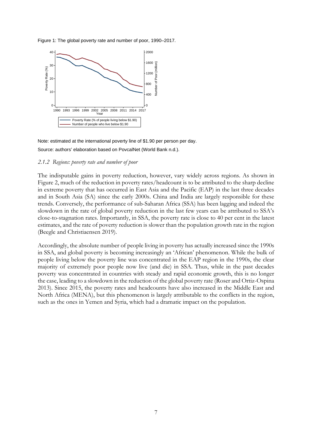



Note: estimated at the international poverty line of \$1.90 per person per day. Source: authors' elaboration based on PovcalNet (World Bank n.d.).

#### *2.1.2 Regions: poverty rate and number of poor*

The indisputable gains in poverty reduction, however, vary widely across regions. As shown in Figure 2, much of the reduction in poverty rates/headcount is to be attributed to the sharp decline in extreme poverty that has occurred in East Asia and the Pacific (EAP) in the last three decades and in South Asia (SA) since the early 2000s. China and India are largely responsible for these trends. Conversely, the performance of sub-Saharan Africa (SSA) has been lagging and indeed the slowdown in the rate of global poverty reduction in the last few years can be attributed to SSA's close-to-stagnation rates. Importantly, in SSA, the poverty rate is close to 40 per cent in the latest estimates, and the rate of poverty reduction is slower than the population growth rate in the region (Beegle and Christiaensen 2019).

Accordingly, the absolute number of people living in poverty has actually increased since the 1990s in SSA, and global poverty is becoming increasingly an 'African' phenomenon. While the bulk of people living below the poverty line was concentrated in the EAP region in the 1990s, the clear majority of extremely poor people now live (and die) in SSA. Thus, while in the past decades poverty was concentrated in countries with steady and rapid economic growth, this is no longer the case, leading to a slowdown in the reduction of the global poverty rate (Roser and Ortiz-Ospina 2013). Since 2015, the poverty rates and headcounts have also increased in the Middle East and North Africa (MENA), but this phenomenon is largely attributable to the conflicts in the region, such as the ones in Yemen and Syria, which had a dramatic impact on the population.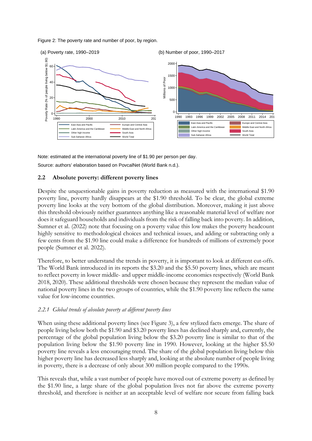Figure 2: The poverty rate and number of poor, by region.



Note: estimated at the international poverty line of \$1.90 per person per day. Source: authors' elaboration based on PovcalNet (World Bank n.d.).

## **2.2 Absolute poverty: different poverty lines**

Despite the unquestionable gains in poverty reduction as measured with the international \$1.90 poverty line, poverty hardly disappears at the \$1.90 threshold. To be clear, the global extreme poverty line looks at the very bottom of the global distribution. Moreover, making it just above this threshold obviously neither guarantees anything like a reasonable material level of welfare nor does it safeguard households and individuals from the risk of falling back into poverty. In addition, Sumner et al. (2022) note that focusing on a poverty value this low makes the poverty headcount highly sensitive to methodological choices and technical issues, and adding or subtracting only a few cents from the \$1.90 line could make a difference for hundreds of millions of extremely poor people (Sumner et al. 2022).

Therefore, to better understand the trends in poverty, it is important to look at different cut-offs. The World Bank introduced in its reports the \$3.20 and the \$5.50 poverty lines, which are meant to reflect poverty in lower middle- and upper middle-income economies respectively (World Bank 2018, 2020). These additional thresholds were chosen because they represent the median value of national poverty lines in the two groups of countries, while the \$1.90 poverty line reflects the same value for low-income countries.

## *2.2.1 Global trends of absolute poverty at different poverty lines*

When using these additional poverty lines (see Figure 3), a few stylized facts emerge. The share of people living below both the \$1.90 and \$3.20 poverty lines has declined sharply and, currently, the percentage of the global population living below the \$3.20 poverty line is similar to that of the population living below the \$1.90 poverty line in 1990. However, looking at the higher \$5.50 poverty line reveals a less encouraging trend. The share of the global population living below this higher poverty line has decreased less sharply and, looking at the absolute number of people living in poverty, there is a decrease of only about 300 million people compared to the 1990s.

This reveals that, while a vast number of people have moved out of extreme poverty as defined by the \$1.90 line, a large share of the global population lives not far above the extreme poverty threshold, and therefore is neither at an acceptable level of welfare nor secure from falling back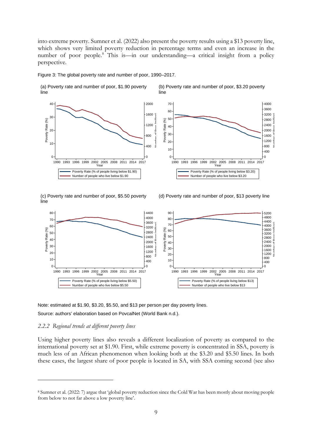into extreme poverty. Sumner et al. (2022) also present the poverty results using a \$13 poverty line, which shows very limited poverty reduction in percentage terms and even an increase in the number of poor people.<sup>[8](#page-10-0)</sup> This is—in our understanding—a critical insight from a policy perspective.

Figure 3: The global poverty rate and number of poor, 1990–2017.



(c) Poverty rate and number of poor, \$5.50 poverty line

(d) Poverty rate and number of poor, \$13 poverty line

Number of Poor (million)



Note: estimated at \$1.90, \$3.20, \$5.50, and \$13 per person per day poverty lines.

Source: authors' elaboration based on PovcalNet (World Bank n.d.).

#### *2.2.2 Regional trends at different poverty lines*

Using higher poverty lines also reveals a different localization of poverty as compared to the international poverty set at \$1.90. First, while extreme poverty is concentrated in SSA, poverty is much less of an African phenomenon when looking both at the \$3.20 and \$5.50 lines. In both these cases, the largest share of poor people is located in SA, with SSA coming second (see also

<span id="page-10-0"></span> Sumner et al. (2022: 7) argue that 'global poverty reduction since the Cold War has been mostly about moving people from below to not far above a low poverty line'.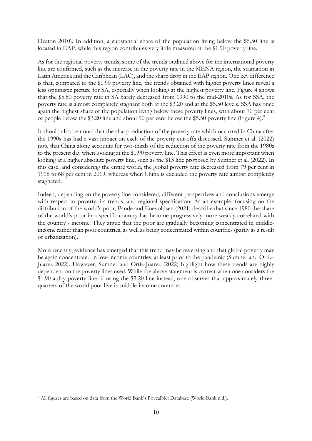Deaton 2010). In addition, a substantial share of the population living below the \$5.50 line is located in EAP, while this region contributes very little measured at the \$1.90 poverty line.

As for the regional poverty trends, some of the trends outlined above for the international poverty line are confirmed, such as the increase in the poverty rate in the MENA region, the stagnation in Latin America and the Caribbean (LAC), and the sharp drop in the EAP region. One key difference is that, compared to the \$1.90 poverty line, the trends obtained with higher poverty lines reveal a less optimistic picture for SA, especially when looking at the highest poverty line. Figure 4 shows that the \$5.50 poverty rate in SA barely decreased from 1990 to the mid-2010s. As for SSA, the poverty rate is almost completely stagnant both at the \$3.20 and at the \$5.50 levels. SSA has once again the highest share of the population living below these poverty lines, with about 70 per cent of people below the \$3.20 line and about 90 per cent below the \$5.50 poverty line (Figure 4).[9](#page-11-0)

It should also be noted that the sharp reduction of the poverty rate which occurred in China after the 1990s has had a vast impact on each of the poverty cut-offs discussed. Sumner et al. (2022) note that China alone accounts for two-thirds of the reduction of the poverty rate from the 1980s to the present day when looking at the \$1.90 poverty line. This effect is even more important when looking at a higher absolute poverty line, such as the \$13 line proposed by Sumner et al. (2022). In this case, and considering the entire world, the global poverty rate decreased from 79 per cent in 1918 to 68 per cent in 2019, whereas when China is excluded the poverty rate almost completely stagnated.

Indeed, depending on the poverty line considered, different perspectives and conclusions emerge with respect to poverty, its trends, and regional specification. As an example, focusing on the distribution of the world's poor, Pande and Enevoldsen (2021) describe that since 1980 the share of the world's poor in a specific country has become progressively more weakly correlated with the country's income. They argue that the poor are gradually becoming concentrated in middleincome rather than poor countries, as well as being concentrated within countries (partly as a result of urbanization).

More recently, evidence has emerged that this trend may be reversing and that global poverty may be again concentrated in low-income countries, at least prior to the pandemic (Sumner and Ortiz-Juarez 2022). However, Sumner and Ortiz-Juarez (2022) highlight how these trends are highly dependent on the poverty lines used. While the above statement is correct when one considers the \$1.90-a-day poverty line, if using the \$3.20 line instead, one observes that approximately threequarters of the world poor live in middle-income countries.

<span id="page-11-0"></span><sup>9</sup> All figures are based on data from the World Bank's PovcalNet Database (World Bank n.d.).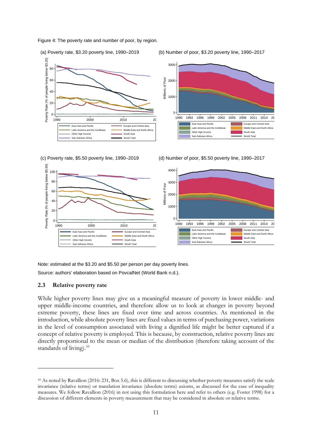Figure 4: The poverty rate and number of poor, by region.







(c) Poverty rate, \$5.50 poverty line, 1990–2019 (d) Number of poor, \$5.50 poverty line, 1990–2017



Note: estimated at the \$3.20 and \$5.50 per person per day poverty lines.

Source: authors' elaboration based on PovcalNet (World Bank n.d.).

#### **2.3 Relative poverty rate**

While higher poverty lines may give us a meaningful measure of poverty in lower middle- and upper middle-income countries, and therefore allow us to look at changes in poverty beyond extreme poverty, these lines are fixed over time and across countries. As mentioned in the introduction, while absolute poverty lines are fixed values in terms of purchasing power, variations in the level of consumption associated with living a dignified life might be better captured if a concept of relative poverty is employed. This is because, by construction, relative poverty lines are directly proportional to the mean or median of the distribution (therefore taking account of the standards of living).<sup>[10](#page-12-0)</sup>

<span id="page-12-0"></span><sup>10</sup> As noted by Ravallion (2016: 231, Box 5.6), this is different to discussing whether poverty measures satisfy the scale invariance (relative terms) or translation invariance (absolute terms) axioms, as discussed for the case of inequality measures. We follow Ravallion (2016) in not using this formulation here and refer to others (e.g. Foster 1998) for a discussion of different elements in poverty measurement that may be considered in absolute or relative terms.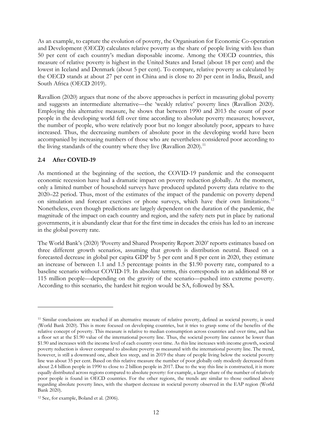As an example, to capture the evolution of poverty, the Organisation for Economic Co-operation and Development (OECD) calculates relative poverty as the share of people living with less than 50 per cent of each country's median disposable income. Among the OECD countries, this measure of relative poverty is highest in the United States and Israel (about 18 per cent) and the lowest in Iceland and Denmark (about 5 per cent). To compare, relative poverty as calculated by the OECD stands at about 27 per cent in China and is close to 20 per cent in India, Brazil, and South Africa (OECD 2019).

Ravallion (2020) argues that none of the above approaches is perfect in measuring global poverty and suggests an intermediate alternative—the 'weakly relative' poverty lines (Ravallion 2020). Employing this alternative measure, he shows that between 1990 and 2013 the count of poor people in the developing world fell over time according to absolute poverty measures; however, the number of people, who were relatively poor but no longer absolutely poor, appears to have increased. Thus, the decreasing numbers of absolute poor in the developing world have been accompanied by increasing numbers of those who are nevertheless considered poor according to the living standards of the country where they live (Ravallion 2020).<sup>[11](#page-13-0)</sup>

## **2.4 After COVID-19**

As mentioned at the beginning of the section, the COVID-19 pandemic and the consequent economic recession have had a dramatic impact on poverty reduction globally. At the moment, only a limited number of household surveys have produced updated poverty data relative to the 2020–22 period. Thus, most of the estimates of the impact of the pandemic on poverty depend on simulation and forecast exercises or phone surveys, which have their own limitations.<sup>[12](#page-13-1)</sup> Nonetheless, even though predictions are largely dependent on the duration of the pandemic, the magnitude of the impact on each country and region, and the safety nets put in place by national governments, it is abundantly clear that for the first time in decades the crisis has led to an increase in the global poverty rate.

The World Bank's (2020) 'Poverty and Shared Prosperity Report 2020' reports estimates based on three different growth scenarios, assuming that growth is distribution neutral. Based on a forecasted decrease in global per capita GDP by 5 per cent and 8 per cent in 2020, they estimate an increase of between 1.1 and 1.5 percentage points in the \$1.90 poverty rate, compared to a baseline scenario without COVID-19. In absolute terms, this corresponds to an additional 88 or 115 million people—depending on the gravity of the scenario—pushed into extreme poverty. According to this scenario, the hardest hit region would be SA, followed by SSA.

<span id="page-13-0"></span><sup>11</sup> Similar conclusions are reached if an alternative measure of relative poverty, defined as societal poverty, is used (World Bank 2020). This is more focused on developing countries, but it tries to grasp some of the benefits of the relative concept of poverty. This measure is relative to median consumption across countries and over time, and has a floor set at the \$1.90 value of the international poverty line. Thus, the societal poverty line cannot be lower than \$1.90 and increases with the income level of each country over time. As this line increases with income growth, societal poverty reduction is slower compared to absolute poverty as measured with the international poverty line. The trend, however, is still a downward one, albeit less steep, and in 2019 the share of people living below the societal poverty line was about 35 per cent. Based on this relative measure the number of poor globally only modestly decreased from about 2.4 billion people in 1990 to close to 2 billion people in 2017. Due to the way this line is constructed, it is more equally distributed across regions compared to absolute poverty: for example, a larger share of the number of relatively poor people is found in OECD countries. For the other regions, the trends are similar to those outlined above regarding absolute poverty lines, with the sharpest decrease in societal poverty observed in the EAP region (World Bank 2020).

<span id="page-13-1"></span><sup>12</sup> See, for example, Boland et al. (2006).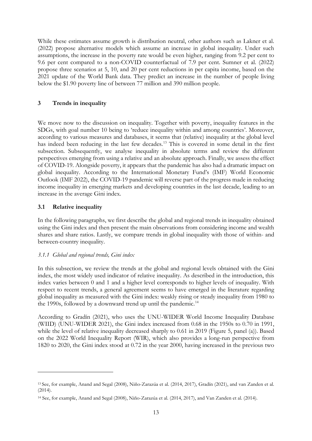While these estimates assume growth is distribution neutral, other authors such as Lakner et al. (2022) propose alternative models which assume an increase in global inequality. Under such assumptions, the increase in the poverty rate would be even higher, ranging from 9.2 per cent to 9.6 per cent compared to a non-COVID counterfactual of 7.9 per cent. Sumner et al. (2022) propose three scenarios at 5, 10, and 20 per cent reductions in per capita income, based on the 2021 update of the World Bank data. They predict an increase in the number of people living below the \$1.90 poverty line of between 77 million and 390 million people.

# **3 Trends in inequality**

We move now to the discussion on inequality. Together with poverty, inequality features in the SDGs, with goal number 10 being to 'reduce inequality within and among countries'. Moreover, according to various measures and databases, it seems that (relative) inequality at the global level has indeed been reducing in the last few decades.<sup>[13](#page-14-0)</sup> This is covered in some detail in the first subsection. Subsequently, we analyse inequality in absolute terms and review the different perspectives emerging from using a relative and an absolute approach. Finally, we assess the effect of COVID-19. Alongside poverty, it appears that the pandemic has also had a dramatic impact on global inequality. According to the International Monetary Fund's (IMF) World Economic Outlook (IMF 2022), the COVID-19 pandemic will reverse part of the progress made in reducing income inequality in emerging markets and developing countries in the last decade, leading to an increase in the average Gini index.

# **3.1 Relative inequality**

In the following paragraphs, we first describe the global and regional trends in inequality obtained using the Gini index and then present the main observations from considering income and wealth shares and share ratios. Lastly, we compare trends in global inequality with those of within- and between-country inequality.

## *3.1.1 Global and regional trends, Gini index*

In this subsection, we review the trends at the global and regional levels obtained with the Gini index, the most widely used indicator of relative inequality. As described in the introduction, this index varies between 0 and 1 and a higher level corresponds to higher levels of inequality. With respect to recent trends, a general agreement seems to have emerged in the literature regarding global inequality as measured with the Gini index: weakly rising or steady inequality from 1980 to the 1990s, followed by a downward trend up until the pandemic.<sup>[14](#page-14-1)</sup>

According to Gradín (2021), who uses the UNU-WIDER World Income Inequality Database (WIID) (UNU-WIDER 2021), the Gini index increased from 0.68 in the 1950s to 0.70 in 1991, while the level of relative inequality decreased sharply to 0.61 in 2019 (Figure 5, panel (a)). Based on the 2022 World Inequality Report (WIR), which also provides a long-run perspective from 1820 to 2020, the Gini index stood at 0.72 in the year 2000, having increased in the previous two

<span id="page-14-0"></span><sup>13</sup> See, for example, Anand and Segal (2008), Niño-Zarazúa et al. (2014, 2017), Gradín (2021), and van Zanden et al. (2014).

<span id="page-14-1"></span><sup>14</sup> See, for example, Anand and Segal (2008), Niño-Zarazúa et al. (2014, 2017), and Van Zanden et al. (2014).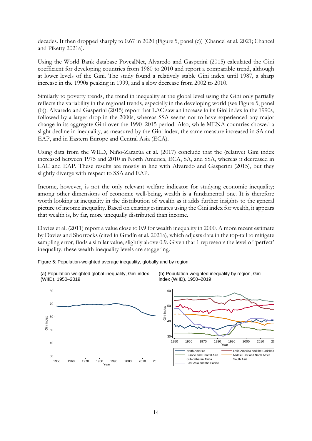decades. It then dropped sharply to 0.67 in 2020 (Figure 5, panel (c)) (Chancel et al. 2021; Chancel and Piketty 2021a).

Using the World Bank database PovcalNet, Alvaredo and Gasperini (2015) calculated the Gini coefficient for developing countries from 1980 to 2010 and report a comparable trend, although at lower levels of the Gini. The study found a relatively stable Gini index until 1987, a sharp increase in the 1990s peaking in 1999, and a slow decrease from 2002 to 2010.

Similarly to poverty trends, the trend in inequality at the global level using the Gini only partially reflects the variability in the regional trends, especially in the developing world (see Figure 5, panel (b)). Alvaredo and Gasperini (2015) report that LAC saw an increase in its Gini index in the 1990s, followed by a larger drop in the 2000s, whereas SSA seems not to have experienced any major change in its aggregate Gini over the 1990–2015 period. Also, while MENA countries showed a slight decline in inequality, as measured by the Gini index, the same measure increased in SA and EAP, and in Eastern Europe and Central Asia (ECA).

Using data from the WIID, Niño-Zarazúa et al. (2017) conclude that the (relative) Gini index increased between 1975 and 2010 in North America, ECA, SA, and SSA, whereas it decreased in LAC and EAP. These results are mostly in line with Alvaredo and Gasperini (2015), but they slightly diverge with respect to SSA and EAP.

Income, however, is not the only relevant welfare indicator for studying economic inequality; among other dimensions of economic well-being, wealth is a fundamental one. It is therefore worth looking at inequality in the distribution of wealth as it adds further insights to the general picture of income inequality. Based on existing estimates using the Gini index for wealth, it appears that wealth is, by far, more unequally distributed than income.

Davies et al. (2011) report a value close to 0.9 for wealth inequality in 2000. A more recent estimate by Davies and Shorrocks (cited in Gradín et al. 2021a), which adjusts data in the top-tail to mitigate sampling error, finds a similar value, slightly above 0.9. Given that 1 represents the level of 'perfect' inequality, these wealth inequality levels are staggering.

Figure 5: Population-weighted average inequality, globally and by region.



(b) Population-weighted inequality by region, Gini index (WIID), 1950–2019

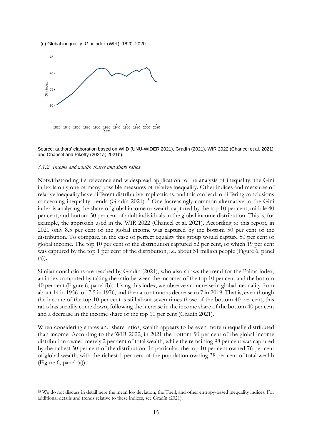(c) Global inequality, Gini index (WIR), 1820–2020



Source: authors' elaboration based on WIID (UNU-WIDER 2021), Gradín (2021), WIR 2022 (Chancel et al. 2021) and Chancel and Piketty (2021a; 2021b).

#### *3.1.2 Income and wealth shares and share ratios*

Notwithstanding its relevance and widespread application to the analysis of inequality, the Gini index is only one of many possible measures of relative inequality. Other indices and measures of relative inequality have different distributive implications, and this can lead to differing conclusions concerning inequality trends (Gradín 2021).<sup>[15](#page-16-0)</sup> One increasingly common alternative to the Gini index is analysing the share of global income or wealth captured by the top 10 per cent, middle 40 per cent, and bottom 50 per cent of adult individuals in the global income distribution. This is, for example, the approach used in the WIR 2022 (Chancel et al. 2021). According to this report, in 2021 only 8.5 per cent of the global income was captured by the bottom 50 per cent of the distribution. To compare, in the case of perfect equality this group would capture 50 per cent of global income. The top 10 per cent of the distribution captured 52 per cent, of which 19 per cent was captured by the top 1 per cent of the distribution, i.e. about 51 million people (Figure 6, panel  $(a)$ ).

Similar conclusions are reached by Gradín (2021), who also shows the trend for the Palma index, an index computed by taking the ratio between the incomes of the top 10 per cent and the bottom 40 per cent (Figure 6, panel (b)). Using this index, we observe an increase in global inequality from about 14 in 1956 to 17.5 in 1976, and then a continuous decrease to 7 in 2019. That is, even though the income of the top 10 per cent is still about seven times those of the bottom 40 per cent, this ratio has steadily come down, following the increase in the income share of the bottom 40 per cent and a decrease in the income share of the top 10 per cent (Gradín 2021).

When considering shares and share ratios, wealth appears to be even more unequally distributed than income. According to the WIR 2022, in 2021 the bottom 50 per cent of the global income distribution owned merely 2 per cent of total wealth, while the remaining 98 per cent was captured by the richest 50 per cent of the distribution. In particular, the top 10 per cent owned 76 per cent of global wealth, with the richest 1 per cent of the population owning 38 per cent of total wealth (Figure 6, panel (a)).

<span id="page-16-0"></span><sup>15</sup> We do not discuss in detail here the mean log deviation, the Theil, and other entropy-based inequality indices. For additional details and trends relative to these indices, see Gradín (2021).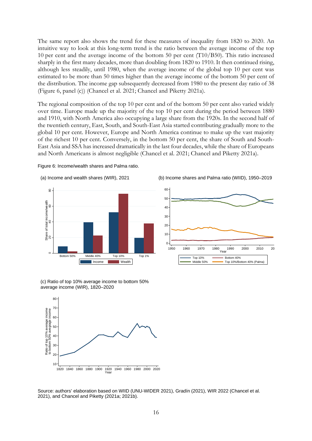The same report also shows the trend for these measures of inequality from 1820 to 2020. An intuitive way to look at this long-term trend is the ratio between the average income of the top 10 per cent and the average income of the bottom 50 per cent (T10/B50). This ratio increased sharply in the first many decades, more than doubling from 1820 to 1910. It then continued rising, although less steadily, until 1980, when the average income of the global top 10 per cent was estimated to be more than 50 times higher than the average income of the bottom 50 per cent of the distribution. The income gap subsequently decreased from 1980 to the present day ratio of 38 (Figure 6, panel (c)) (Chancel et al. 2021; Chancel and Piketty 2021a).

The regional composition of the top 10 per cent and of the bottom 50 per cent also varied widely over time. Europe made up the majority of the top 10 per cent during the period between 1880 and 1910, with North America also occupying a large share from the 1920s. In the second half of the twentieth century, East, South, and South-East Asia started contributing gradually more to the global 10 per cent. However, Europe and North America continue to make up the vast majority of the richest 10 per cent. Conversely, in the bottom 50 per cent, the share of South and South-East Asia and SSA has increased dramatically in the last four decades, while the share of Europeans and North Americans is almost negligible (Chancel et al. 2021; Chancel and Piketty 2021a).









(c) Ratio of top 10% average income to bottom 50% average income (WIR), 1820–2020



Source: authors' elaboration based on WIID (UNU-WIDER 2021), Gradín (2021), WIR 2022 (Chancel et al. 2021), and Chancel and Piketty (2021a; 2021b).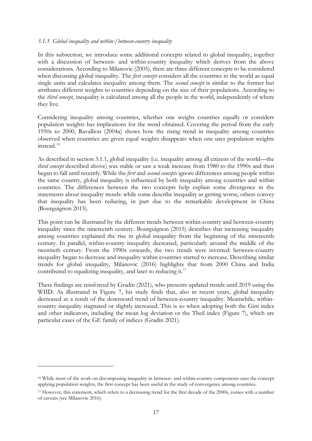#### *3.1.3 Global inequality and within-/between-country inequality*

In this subsection, we introduce some additional concepts related to global inequality, together with a discussion of between- and within-country inequality which derives from the above considerations. According to Milanovic (2005), there are three different concepts to be considered when discussing global inequality. The *first concept* considers all the countries in the world as equal single units and calculates inequality among them. The *second concept* is similar to the former but attributes different weights to countries depending on the size of their populations. According to the *third concept*, inequality is calculated among all the people in the world, independently of where they live.

Considering inequality among countries, whether one weighs countries equally or considers population weights has implications for the trend obtained. Covering the period from the early 1950s to 2000, Ravallion (2004a) shows how the rising trend in inequality among countries observed when countries are given equal weights disappears when one uses population weights instead.[16](#page-18-0)

As described in section 3.1.1, global inequality (i.e. inequality among all citizens of the world—the *third concept* described above) was stable or saw a weak increase from 1980 to the 1990s and then began to fall until recently. While the *first* and *second concepts* ignore differences among people within the same country, global inequality is influenced by both inequality among countries and within countries. The differences between the two concepts help explain some divergence in the statements about inequality trends: while some describe inequality as getting worse, others convey that inequality has been reducing, in part due to the remarkable development in China (Bourguignon 2015).

This point can be illustrated by the different trends between within-country and between-country inequality since the nineteenth century. Bourguignon (2015) describes that increasing inequality among countries explained the rise in global inequality from the beginning of the nineteenth century. In parallel, within-country inequality decreased, particularly around the middle of the twentieth century. From the 1990s onwards, the two trends were inverted: between-country inequality began to decrease and inequality within countries started to increase. Describing similar trends for global inequality, Milanovic (2016) highlights that from 2000 China and India contributed to equalizing inequality, and later to reducing it.<sup>[17](#page-18-1)</sup>

These findings are reinforced by Gradín (2021), who presents updated trends until 2019 using the WIID. As illustrated in Figure 7, his study finds that, also in recent years, global inequality decreased as a result of the downward trend of between-country inequality. Meanwhile, withincountry inequality stagnated or slightly increased. This is so when adopting both the Gini index and other indicators, including the mean log deviation or the Theil index (Figure 7), which are particular cases of the GE family of indices (Gradín 2021).

<span id="page-18-0"></span><sup>16</sup> While most of the work on decomposing inequality in between- and within-country components uses the concept applying population weights, the first concept has been useful in the study of convergence among countries.

<span id="page-18-1"></span><sup>&</sup>lt;sup>17</sup> However, this statement, which refers to a decreasing trend for the first decade of the 2000s, comes with a number of caveats (see Milanovic 2016).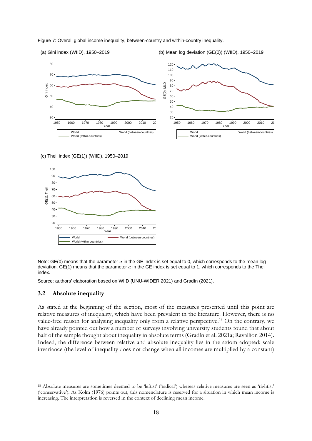



(c) Theil index (GE(1)) (WIID), 1950–2019



Note: GE(0) means that the parameter  $\alpha$  in the GE index is set equal to 0, which corresponds to the mean log deviation. GE(1) means that the parameter  $\alpha$  in the GE index is set equal to 1, which corresponds to the Theil index.

Source: authors' elaboration based on WIID (UNU-WIDER 2021) and Gradín (2021).

#### **3.2 Absolute inequality**

As stated at the beginning of the section, most of the measures presented until this point are relative measures of inequality, which have been prevalent in the literature. However, there is no value-free reason for analysing inequality only from a relative perspective.<sup>[18](#page-19-0)</sup> On the contrary, we have already pointed out how a number of surveys involving university students found that about half of the sample thought about inequality in absolute terms (Gradín et al. 2021a; Ravallion 2014). Indeed, the difference between relative and absolute inequality lies in the axiom adopted: scale invariance (the level of inequality does not change when all incomes are multiplied by a constant)

<span id="page-19-0"></span><sup>18</sup> Absolute measures are sometimes deemed to be 'leftist' ('radical') whereas relative measures are seen as 'rightist' ('conservative'). As Kolm (1976) points out, this nomenclature is reserved for a situation in which mean income is increasing. The interpretation is reversed in the context of declining mean income.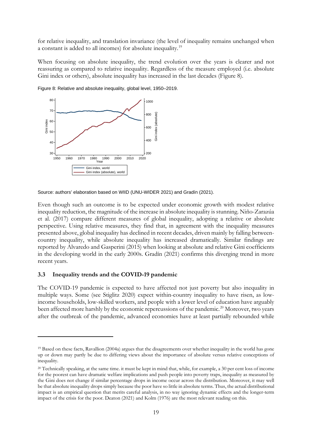for relative inequality, and translation invariance (the level of inequality remains unchanged when a constant is added to all incomes) for absolute inequality.[19](#page-20-0)

When focusing on absolute inequality, the trend evolution over the years is clearer and not reassuring as compared to relative inequality. Regardless of the measure employed (i.e. absolute Gini index or others), absolute inequality has increased in the last decades (Figure 8).



Figure 8: Relative and absolute inequality, global level, 1950–2019.

Source: authors' elaboration based on WIID (UNU-WIDER 2021) and Gradín (2021).

Even though such an outcome is to be expected under economic growth with modest relative inequality reduction, the magnitude of the increase in absolute inequality is stunning. Niño-Zarazúa et al. (2017) compare different measures of global inequality, adopting a relative or absolute perspective. Using relative measures, they find that, in agreement with the inequality measures presented above, global inequality has declined in recent decades, driven mainly by falling betweencountry inequality, while absolute inequality has increased dramatically. Similar findings are reported by Alvaredo and Gasperini (2015) when looking at absolute and relative Gini coefficients in the developing world in the early 2000s. Gradín (2021) confirms this diverging trend in more recent years.

#### **3.3 Inequality trends and the COVID-19 pandemic**

The COVID-19 pandemic is expected to have affected not just poverty but also inequality in multiple ways. Some (see Stiglitz 2020) expect within-country inequality to have risen, as lowincome households, low-skilled workers, and people with a lower level of education have arguably been affected more harshly by the economic repercussions of the pandemic.<sup>[20](#page-20-1)</sup> Moreover, two years after the outbreak of the pandemic, advanced economies have at least partially rebounded while

<span id="page-20-0"></span><sup>19</sup> Based on these facts, Ravallion (2004a) argues that the disagreements over whether inequality in the world has gone up or down may partly be due to differing views about the importance of absolute versus relative conceptions of inequality.

<span id="page-20-1"></span> $20$  Technically speaking, at the same time. it must be kept in mind that, while, for example, a 30 per cent loss of income for the poorest can have dramatic welfare implications and push people into poverty traps, inequality as measured by the Gini does not change if similar percentage drops in income occur across the distribution. Moreover, it may well be that absolute inequality drops simply because the poor have so little in absolute terms. Thus, the actual distributional impact is an empirical question that merits careful analysis, in no way ignoring dynamic effects and the longer-term impact of the crisis for the poor. Deaton (2021) and Kolm (1976) are the most relevant reading on this.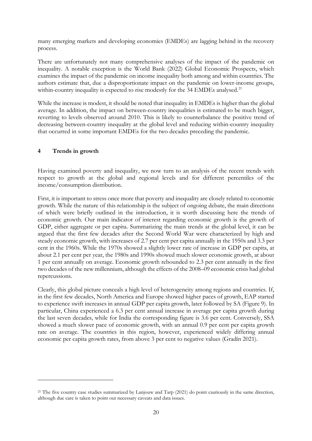many emerging markets and developing economies (EMDEs) are lagging behind in the recovery process.

There are unfortunately not many comprehensive analyses of the impact of the pandemic on inequality. A notable exception is the World Bank (2022) Global Economic Prospects, which examines the impact of the pandemic on income inequality both among and within countries. The authors estimate that, due a disproportionate impact on the pandemic on lower-income groups, within-country inequality is expected to rise modestly for the 34 EMDEs analysed.<sup>[21](#page-21-0)</sup>

While the increase is modest, it should be noted that inequality in EMDEs is higher than the global average. In addition, the impact on between-country inequalities is estimated to be much bigger, reverting to levels observed around 2010. This is likely to counterbalance the positive trend of decreasing between-country inequality at the global level and reducing within-country inequality that occurred in some important EMDEs for the two decades preceding the pandemic.

# **4 Trends in growth**

Having examined poverty and inequality, we now turn to an analysis of the recent trends with respect to growth at the global and regional levels and for different percentiles of the income/consumption distribution.

First, it is important to stress once more that poverty and inequality are closely related to economic growth. While the nature of this relationship is the subject of ongoing debate, the main directions of which were briefly outlined in the introduction, it is worth discussing here the trends of economic growth. Our main indicator of interest regarding economic growth is the growth of GDP, either aggregate or per capita. Summarizing the main trends at the global level, it can be argued that the first few decades after the Second World War were characterized by high and steady economic growth, with increases of 2.7 per cent per capita annually in the 1950s and 3.3 per cent in the 1960s. While the 1970s showed a slightly lower rate of increase in GDP per capita, at about 2.1 per cent per year, the 1980s and 1990s showed much slower economic growth, at about 1 per cent annually on average. Economic growth rebounded to 2.3 per cent annually in the first two decades of the new millennium, although the effects of the 2008–09 economic crisis had global repercussions.

Clearly, this global picture conceals a high level of heterogeneity among regions and countries. If, in the first few decades, North America and Europe showed higher paces of growth, EAP started to experience swift increases in annual GDP per capita growth, later followed by SA (Figure 9). In particular, China experienced a 6.3 per cent annual increase in average per capita growth during the last seven decades, while for India the corresponding figure is 3.6 per cent. Conversely, SSA showed a much slower pace of economic growth, with an annual 0.9 per cent per capita growth rate on average. The countries in this region, however, experienced widely differing annual economic per capita growth rates, from above 3 per cent to negative values (Gradín 2021).

<span id="page-21-0"></span><sup>&</sup>lt;sup>21</sup> The five country case studies summarized by Lanjouw and Tarp (2021) do point cautiously in the same direction, although due care is taken to point out necessary caveats and data issues.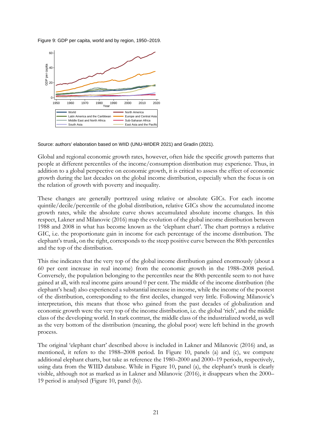Figure 9: GDP per capita, world and by region, 1950–2019.



Source: authors' elaboration based on WIID (UNU-WIDER 2021) and Gradín (2021).

Global and regional economic growth rates, however, often hide the specific growth patterns that people at different percentiles of the income/consumption distribution may experience. Thus, in addition to a global perspective on economic growth, it is critical to assess the effect of economic growth during the last decades on the global income distribution, especially when the focus is on the relation of growth with poverty and inequality.

These changes are generally portrayed using relative or absolute GICs. For each income quintile/decile/percentile of the global distribution, relative GICs show the accumulated income growth rates, while the absolute curve shows accumulated absolute income changes. In this respect, Lakner and Milanovic (2016) map the evolution of the global income distribution between 1988 and 2008 in what has become known as the 'elephant chart'. The chart portrays a relative GIC, i.e. the proportionate gain in income for each percentage of the income distribution. The elephant's trunk, on the right, corresponds to the steep positive curve between the 80th percentiles and the top of the distribution.

This rise indicates that the very top of the global income distribution gained enormously (about a 60 per cent increase in real income) from the economic growth in the 1988–2008 period. Conversely, the population belonging to the percentiles near the 80th percentile seem to not have gained at all, with real income gains around 0 per cent. The middle of the income distribution (the elephant's head) also experienced a substantial increase in income, while the income of the poorest of the distribution, corresponding to the first deciles, changed very little. Following Milanovic's interpretation, this means that those who gained from the past decades of globalization and economic growth were the very top of the income distribution, i.e. the global 'rich', and the middle class of the developing world. In stark contrast, the middle class of the industrialized world, as well as the very bottom of the distribution (meaning, the global poor) were left behind in the growth process.

The original 'elephant chart' described above is included in Lakner and Milanovic (2016) and, as mentioned, it refers to the 1988–2008 period. In Figure 10, panels (a) and (c), we compute additional elephant charts, but take as reference the 1980–2000 and 2000–19 periods, respectively, using data from the WIID database. While in Figure 10, panel (a), the elephant's trunk is clearly visible, although not as marked as in Lakner and Milanovic (2016), it disappears when the 2000– 19 period is analysed (Figure 10, panel (b)).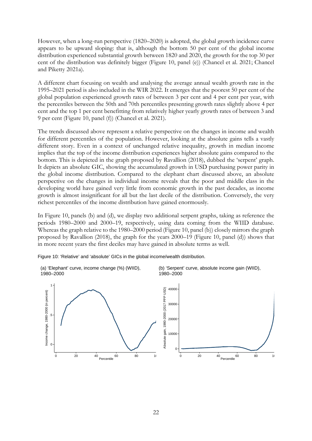However, when a long-run perspective (1820–2020) is adopted, the global growth incidence curve appears to be upward sloping: that is, although the bottom 50 per cent of the global income distribution experienced substantial growth between 1820 and 2020, the growth for the top 30 per cent of the distribution was definitely bigger (Figure 10, panel (e)) (Chancel et al. 2021; Chancel and Piketty 2021a).

A different chart focusing on wealth and analysing the average annual wealth growth rate in the 1995–2021 period is also included in the WIR 2022. It emerges that the poorest 50 per cent of the global population experienced growth rates of between 3 per cent and 4 per cent per year, with the percentiles between the 50th and 70th percentiles presenting growth rates slightly above 4 per cent and the top 1 per cent benefitting from relatively higher yearly growth rates of between 3 and 9 per cent (Figure 10, panel (f)) (Chancel et al. 2021).

The trends discussed above represent a relative perspective on the changes in income and wealth for different percentiles of the population. However, looking at the absolute gains tells a vastly different story. Even in a context of unchanged relative inequality, growth in median income implies that the top of the income distribution experiences higher absolute gains compared to the bottom. This is depicted in the graph proposed by Ravallion (2018), dubbed the 'serpent' graph. It depicts an absolute GIC, showing the accumulated growth in USD purchasing power parity in the global income distribution. Compared to the elephant chart discussed above, an absolute perspective on the changes in individual income reveals that the poor and middle class in the developing world have gained very little from economic growth in the past decades, as income growth is almost insignificant for all but the last decile of the distribution. Conversely, the very richest percentiles of the income distribution have gained enormously.

In Figure 10, panels (b) and (d), we display two additional serpent graphs, taking as reference the periods 1980–2000 and 2000–19, respectively, using data coming from the WIID database. Whereas the graph relative to the 1980–2000 period (Figure 10, panel (b)) closely mirrors the graph proposed by Ravallion (2018), the graph for the years 2000–19 (Figure 10, panel (d)) shows that in more recent years the first deciles may have gained in absolute terms as well.





(b) 'Serpent' curve, absolute income gain (WIID), 1980–2000

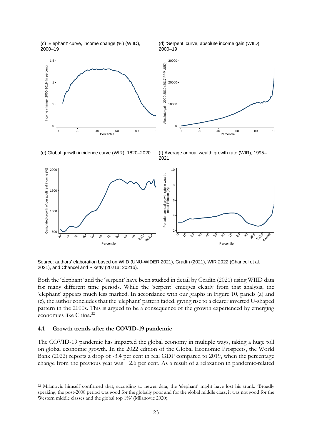(c) 'Elephant' curve, income change (%) (WIID), 2000–19

(d) 'Serpent' curve, absolute income gain (WIID), 2000–19



(e) Global growth incidence curve (WIR), 1820–2020 (f) Average annual wealth growth rate (WIR), 1995–

2021



Source: authors' elaboration based on WIID (UNU-WIDER 2021), Gradín (2021), WIR 2022 (Chancel et al. 2021), and Chancel and Piketty (2021a; 2021b).

Both the 'elephant' and the 'serpent' have been studied in detail by Gradín (2021) using WIID data for many different time periods. While the 'serpent' emerges clearly from that analysis, the 'elephant' appears much less marked. In accordance with our graphs in Figure 10, panels (a) and (c), the author concludes that the 'elephant' pattern faded, giving rise to a clearer inverted U-shaped pattern in the 2000s. This is argued to be a consequence of the growth experienced by emerging economies like China.<sup>[22](#page-24-0)</sup>

#### **4.1 Growth trends after the COVID-19 pandemic**

The COVID-19 pandemic has impacted the global economy in multiple ways, taking a huge toll on global economic growth. In the 2022 edition of the Global Economic Prospects, the World Bank (2022) reports a drop of -3.4 per cent in real GDP compared to 2019, when the percentage change from the previous year was +2.6 per cent. As a result of a relaxation in pandemic-related

<span id="page-24-0"></span><sup>22</sup> Milanovic himself confirmed that, according to newer data, the 'elephant' might have lost his trunk: 'Broadly speaking, the post-2008 period was good for the globally poor and for the global middle class; it was not good for the Western middle classes and the global top 1%' (Milanovic 2020).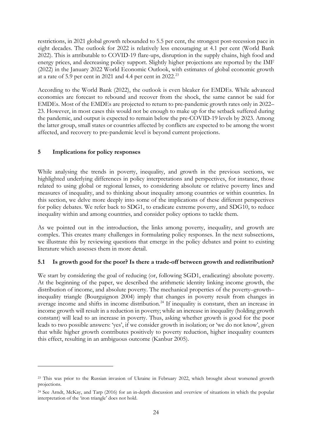restrictions, in 2021 global growth rebounded to 5.5 per cent, the strongest post-recession pace in eight decades. The outlook for 2022 is relatively less encouraging at 4.1 per cent (World Bank 2022). This is attributable to COVID-19 flare-ups, disruption in the supply chains, high food and energy prices, and decreasing policy support. Slightly higher projections are reported by the IMF (2022) in the January 2022 World Economic Outlook, with estimates of global economic growth at a rate of 5.9 per cent in 2021 and 4.4 per cent in 2022.[23](#page-25-0)

According to the World Bank (2022), the outlook is even bleaker for EMDEs. While advanced economies are forecast to rebound and recover from the shock, the same cannot be said for EMDEs. Most of the EMDEs are projected to return to pre-pandemic growth rates only in 2022– 23. However, in most cases this would not be enough to make up for the setback suffered during the pandemic, and output is expected to remain below the pre-COVID-19 levels by 2023. Among the latter group, small states or countries affected by conflicts are expected to be among the worst affected, and recovery to pre-pandemic level is beyond current projections.

# **5 Implications for policy responses**

While analysing the trends in poverty, inequality, and growth in the previous sections, we highlighted underlying differences in policy interpretations and perspectives, for instance, those related to using global or regional lenses, to considering absolute or relative poverty lines and measures of inequality, and to thinking about inequality among countries or within countries. In this section, we delve more deeply into some of the implications of these different perspectives for policy debates. We refer back to SDG1, to eradicate extreme poverty, and SDG10, to reduce inequality within and among countries, and consider policy options to tackle them.

As we pointed out in the introduction, the links among poverty, inequality, and growth are complex. This creates many challenges in formulating policy responses. In the next subsections, we illustrate this by reviewing questions that emerge in the policy debates and point to existing literature which assesses them in more detail.

## **5.1 Is growth good for the poor? Is there a trade-off between growth and redistribution?**

We start by considering the goal of reducing (or, following SGD1, eradicating) absolute poverty. At the beginning of the paper, we described the arithmetic identity linking income growth, the distribution of income, and absolute poverty. The mechanical properties of the poverty–growth– inequality triangle (Bourguignon 2004) imply that changes in poverty result from changes in average income and shifts in income distribution.<sup>[24](#page-25-1)</sup> If inequality is constant, then an increase in income growth will result in a reduction in poverty; while an increase in inequality (holding growth constant) will lead to an increase in poverty. Thus, asking whether growth is good for the poor leads to two possible answers: 'yes', if we consider growth in isolation; or 'we do not know', given that while higher growth contributes positively to poverty reduction, higher inequality counters this effect, resulting in an ambiguous outcome (Kanbur 2005).

<span id="page-25-0"></span><sup>23</sup> This was prior to the Russian invasion of Ukraine in February 2022, which brought about worsened growth projections.

<span id="page-25-1"></span><sup>24</sup> See Arndt, McKay, and Tarp (2016) for an in-depth discussion and overview of situations in which the popular interpretation of the 'iron triangle' does not hold.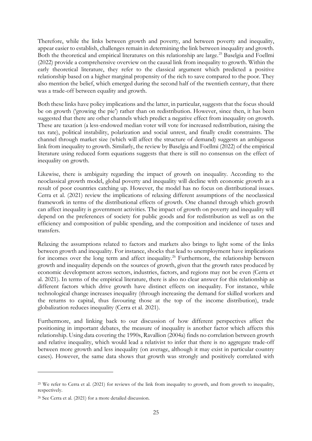Therefore, while the links between growth and poverty, and between poverty and inequality, appear easier to establish, challenges remain in determining the link between inequality and growth. Both the theoretical and empirical literatures on this relationship are large.<sup>25</sup> Baselgia and Foellmi (2022) provide a comprehensive overview on the causal link from inequality to growth. Within the early theoretical literature, they refer to the classical argument which predicted a positive relationship based on a higher marginal propensity of the rich to save compared to the poor. They also mention the belief, which emerged during the second half of the twentieth century, that there was a trade-off between equality and growth.

Both these links have policy implications and the latter, in particular, suggests that the focus should be on growth ('growing the pie') rather than on redistribution. However, since then, it has been suggested that there are other channels which predict a negative effect from inequality on growth. These are taxation (a less-endowed median voter will vote for increased redistribution, raising the tax rate), political instability, polarization and social unrest, and finally credit constraints. The channel through market size (which will affect the structure of demand) suggests an ambiguous link from inequality to growth. Similarly, the review by Baselgia and Foellmi (2022) of the empirical literature using reduced form equations suggests that there is still no consensus on the effect of inequality on growth.

Likewise, there is ambiguity regarding the impact of growth on inequality. According to the neoclassical growth model, global poverty and inequality will decline with economic growth as a result of poor countries catching up. However, the model has no focus on distributional issues. Cerra et al. (2021) review the implications of relaxing different assumptions of the neoclassical framework in terms of the distributional effects of growth. One channel through which growth can affect inequality is government activities. The impact of growth on poverty and inequality will depend on the preferences of society for public goods and for redistribution as well as on the efficiency and composition of public spending, and the composition and incidence of taxes and transfers.

Relaxing the assumptions related to factors and markets also brings to light some of the links between growth and inequality. For instance, shocks that lead to unemployment have implications for incomes over the long term and affect inequality.<sup>[26](#page-26-1)</sup> Furthermore, the relationship between growth and inequality depends on the sources of growth, given that the growth rates produced by economic development across sectors, industries, factors, and regions may not be even (Cerra et al. 2021). In terms of the empirical literature, there is also no clear answer for this relationship as different factors which drive growth have distinct effects on inequality. For instance, while technological change increases inequality (through increasing the demand for skilled workers and the returns to capital, thus favouring those at the top of the income distribution), trade globalization reduces inequality (Cerra et al. 2021).

Furthermore, and linking back to our discussion of how different perspectives affect the positioning in important debates, the measure of inequality is another factor which affects this relationship. Using data covering the 1990s, Ravallion (2004a) finds no correlation between growth and relative inequality, which would lead a relativist to infer that there is no aggregate trade-off between more growth and less inequality (on average, although it may exist in particular country cases). However, the same data shows that growth was strongly and positively correlated with

<span id="page-26-0"></span><sup>25</sup> We refer to Cerra et al. (2021) for reviews of the link from inequality to growth, and from growth to inequality, respectively.

<span id="page-26-1"></span><sup>26</sup> See Cerra et al. (2021) for a more detailed discussion.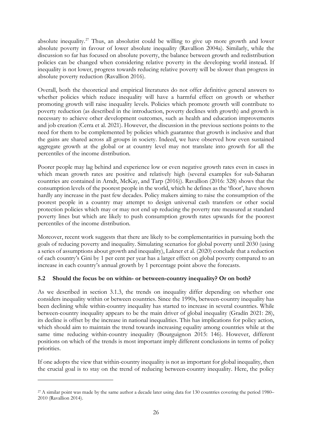absolute inequality.[27](#page-27-0) Thus, an absolutist could be willing to give up more growth and lower absolute poverty in favour of lower absolute inequality (Ravallion 2004a). Similarly, while the discussion so far has focused on absolute poverty, the balance between growth and redistribution policies can be changed when considering relative poverty in the developing world instead. If inequality is not lower, progress towards reducing relative poverty will be slower than progress in absolute poverty reduction (Ravallion 2016).

Overall, both the theoretical and empirical literatures do not offer definitive general answers to whether policies which reduce inequality will have a harmful effect on growth or whether promoting growth will raise inequality levels. Policies which promote growth will contribute to poverty reduction (as described in the introduction, poverty declines with growth) and growth is necessary to achieve other development outcomes, such as health and education improvements and job creation (Cerra et al. 2021). However, the discussion in the previous sections points to the need for them to be complemented by policies which guarantee that growth is inclusive and that the gains are shared across all groups in society. Indeed, we have observed how even sustained aggregate growth at the global or at country level may not translate into growth for all the percentiles of the income distribution.

Poorer people may lag behind and experience low or even negative growth rates even in cases in which mean growth rates are positive and relatively high (several examples for sub-Saharan countries are contained in Arndt, McKay, and Tarp (2016)). Ravallion (2016: 328) shows that the consumption levels of the poorest people in the world, which he defines as the 'floor', have shown hardly any increase in the past few decades. Policy makers aiming to raise the consumption of the poorest people in a country may attempt to design universal cash transfers or other social protection policies which may or may not end up reducing the poverty rate measured at standard poverty lines but which are likely to push consumption growth rates upwards for the poorest percentiles of the income distribution.

Moreover, recent work suggests that there are likely to be complementarities in pursuing both the goals of reducing poverty and inequality. Simulating scenarios for global poverty until 2030 (using a series of assumptions about growth and inequality), Lakner et al. (2020) conclude that a reduction of each country's Gini by 1 per cent per year has a larger effect on global poverty compared to an increase in each country's annual growth by 1 percentage point above the forecasts.

# **5.2 Should the focus be on within- or between-country inequality? Or on both?**

As we described in section 3.1.3, the trends on inequality differ depending on whether one considers inequality within or between countries. Since the 1990s, between-country inequality has been declining while within-country inequality has started to increase in several countries. While between-country inequality appears to be the main driver of global inequality (Gradín 2021: 28), its decline is offset by the increase in national inequalities. This has implications for policy action, which should aim to maintain the trend towards increasing equality among countries while at the same time reducing within-country inequality (Bourguignon 2015: 146). However, different positions on which of the trends is most important imply different conclusions in terms of policy priorities.

If one adopts the view that within-country inequality is not as important for global inequality, then the crucial goal is to stay on the trend of reducing between-country inequality. Here, the policy

<span id="page-27-0"></span><sup>&</sup>lt;sup>27</sup> A similar point was made by the same author a decade later using data for 130 countries covering the period 1980– 2010 (Ravallion 2014).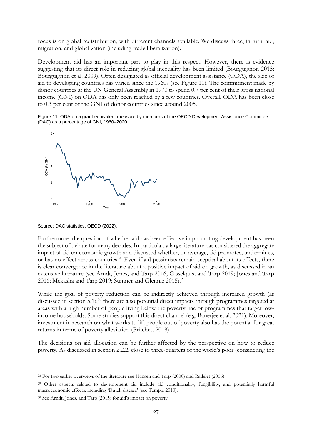focus is on global redistribution, with different channels available. We discuss three, in turn: aid, migration, and globalization (including trade liberalization).

Development aid has an important part to play in this respect. However, there is evidence suggesting that its direct role in reducing global inequality has been limited (Bourguignon 2015; Bourguignon et al. 2009). Often designated as official development assistance (ODA), the size of aid to developing countries has varied since the 1960s (see Figure 11). The commitment made by donor countries at the UN General Assembly in 1970 to spend 0.7 per cent of their gross national income (GNI) on ODA has only been reached by a few countries. Overall, ODA has been close to 0.3 per cent of the GNI of donor countries since around 2005.

Figure 11: ODA on a grant equivalent measure by members of the OECD Development Assistance Committee (DAC) as a percentage of GNI, 1960–2020.



Source: DAC statistics, OECD (2022).

Furthermore, the question of whether aid has been effective in promoting development has been the subject of debate for many decades. In particular, a large literature has considered the aggregate impact of aid on economic growth and discussed whether, on average, aid promotes, undermines, or has no effect across countries.<sup>[28](#page-28-0)</sup> Even if aid pessimists remain sceptical about its effects, there is clear convergence in the literature about a positive impact of aid on growth, as discussed in an extensive literature (see Arndt, Jones, and Tarp 2016; Gisselquist and Tarp 2019; Jones and Tarp 2016; Mekasha and Tarp 2019; Sumner and Glennie 2015).<sup>[29](#page-28-1)</sup>

While the goal of poverty reduction can be indirectly achieved through increased growth (as discussed in section 5.1),<sup>[30](#page-28-2)</sup> there are also potential direct impacts through programmes targeted at areas with a high number of people living below the poverty line or programmes that target lowincome households. Some studies support this direct channel (e.g. Banerjee et al. 2021). Moreover, investment in research on what works to lift people out of poverty also has the potential for great returns in terms of poverty alleviation (Pritchett 2018).

The decisions on aid allocation can be further affected by the perspective on how to reduce poverty. As discussed in section 2.2.2, close to three-quarters of the world's poor (considering the

<span id="page-28-0"></span><sup>&</sup>lt;sup>28</sup> For two earlier overviews of the literature see Hansen and Tarp (2000) and Radelet (2006).

<span id="page-28-1"></span><sup>29</sup> Other aspects related to development aid include aid conditionality, fungibility, and potentially harmful macroeconomic effects, including 'Dutch disease' (see Temple 2010).

<span id="page-28-2"></span><sup>30</sup> See Arndt, Jones, and Tarp (2015) for aid's impact on poverty.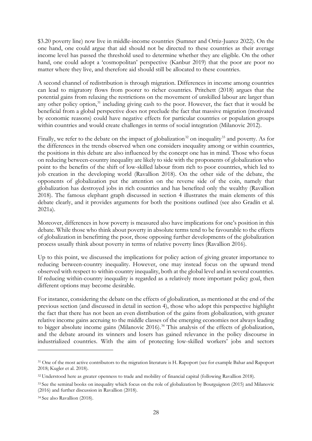\$3.20 poverty line) now live in middle-income countries (Sumner and Ortiz-Juarez 2022). On the one hand, one could argue that aid should not be directed to these countries as their average income level has passed the threshold used to determine whether they are eligible. On the other hand, one could adopt a 'cosmopolitan' perspective (Kanbur 2019) that the poor are poor no matter where they live, and therefore aid should still be allocated to these countries.

A second channel of redistribution is through migration. Differences in income among countries can lead to migratory flows from poorer to richer countries. Pritchett (2018) argues that the potential gains from relaxing the restrictions on the movement of unskilled labour are larger than any other policy option,<sup>[31](#page-29-0)</sup> including giving cash to the poor. However, the fact that it would be beneficial from a global perspective does not preclude the fact that massive migration (motivated by economic reasons) could have negative effects for particular countries or population groups within countries and would create challenges in terms of social integration (Milanovic 2012).

Finally, we refer to the debate on the impact of globalization<sup>[32](#page-29-1)</sup> on inequality<sup>[33](#page-29-2)</sup> and poverty. As for the differences in the trends observed when one considers inequality among or within countries, the positions in this debate are also influenced by the concept one has in mind. Those who focus on reducing between-country inequality are likely to side with the proponents of globalization who point to the benefits of the shift of low-skilled labour from rich to poor countries, which led to job creation in the developing world (Ravallion 2018). On the other side of the debate, the opponents of globalization put the attention on the reverse side of the coin, namely that globalization has destroyed jobs in rich countries and has benefited only the wealthy (Ravallion 2018). The famous elephant graph discussed in section 4 illustrates the main elements of this debate clearly, and it provides arguments for both the positions outlined (see also Gradín et al. 2021a).

Moreover, differences in how poverty is measured also have implications for one's position in this debate. While those who think about poverty in absolute terms tend to be favourable to the effects of globalization in benefitting the poor, those opposing further developments of the globalization process usually think about poverty in terms of relative poverty lines (Ravallion 2016).

Up to this point, we discussed the implications for policy action of giving greater importance to reducing between-country inequality. However, one may instead focus on the upward trend observed with respect to within-country inequality, both at the global level and in several countries. If reducing within-country inequality is regarded as a relatively more important policy goal, then different options may become desirable.

For instance, considering the debate on the effects of globalization, as mentioned at the end of the previous section (and discussed in detail in section 4), those who adopt this perspective highlight the fact that there has not been an even distribution of the gains from globalization, with greater relative income gains accruing to the middle classes of the emerging economies not always leading to bigger absolute income gains (Milanovic 2016).<sup>[34](#page-29-3)</sup> This analysis of the effects of globalization, and the debate around its winners and losers has gained relevance in the policy discourse in industrialized countries. With the aim of protecting low-skilled workers' jobs and sectors

<span id="page-29-0"></span><sup>&</sup>lt;sup>31</sup> One of the most active contributors to the migration literature is H. Rapoport (see for example Bahar and Rapoport 2018; Kugler et al. 2018).

<span id="page-29-1"></span><sup>32</sup> Understood here as greater openness to trade and mobility of financial capital (following Ravallion 2018).

<span id="page-29-2"></span><sup>33</sup> See the seminal books on inequality which focus on the role of globalization by Bourguignon (2015) and Milanovic (2016) and further discussion in Ravallion (2018).

<span id="page-29-3"></span><sup>34</sup> See also Ravallion (2018).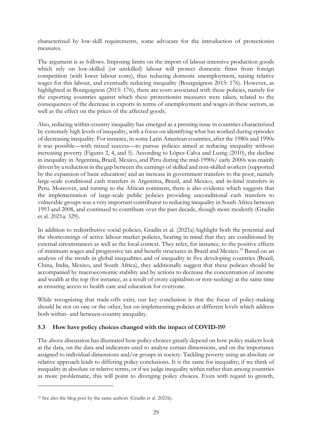characterized by low-skill requirements, some advocate for the introduction of protectionist measures.

The argument is as follows. Imposing limits on the import of labour-intensive production goods which rely on low-skilled (or unskilled) labour will protect domestic firms from foreign competition (with lower labour costs), thus reducing domestic unemployment, raising relative wages for this labour, and eventually reducing inequality (Bourguignon 2015: 176). However, as highlighted in Bourguignon (2015: 176), there are costs associated with these policies, namely for the exporting countries against which these protectionist measures were taken, related to the consequences of the decrease in exports in terms of unemployment and wages in these sectors, as well as the effect on the prices of the affected goods.

Also, reducing within-country inequality has emerged as a pressing issue in countries characterized by extremely high levels of inequality, with a focus on identifying what has worked during episodes of decreasing inequality. For instance, in some Latin American countries, after the 1980s and 1990s it was possible—with mixed success—to pursue policies aimed at reducing inequality without increasing poverty (Figures 2, 4, and 5). According to López-Calva and Lustig (2010), the decline in inequality in Argentina, Brazil, Mexico, and Peru during the mid-1990s/ early 2000s was mainly driven by a reduction in the gap between the earnings of skilled and non-skilled workers (supported by the expansion of basic education) and an increase in government transfers to the poor, namely large-scale conditional cash transfers in Argentina, Brazil, and Mexico, and in-kind transfers in Peru. Moreover, and turning to the African continent, there is also evidence which suggests that the implementation of large-scale public policies providing unconditional cash transfers to vulnerable groups was a very important contributor to reducing inequality in South Africa between 1993 and 2008, and continued to contribute over the past decade, though more modestly (Gradín et al. 2021a: 329).

In addition to redistributive social policies, Gradín et al. (2021a) highlight both the potential and the shortcomings of active labour market policies, bearing in mind that they are conditioned by external circumstances as well as the local context. They refer, for instance, to the positive effects of minimum wages and progressive tax and benefit structures in Brazil and Mexico.<sup>[35](#page-30-0)</sup> Based on an analysis of the trends in global inequalities and of inequality in five developing countries (Brazil, China, India, Mexico, and South Africa), they additionally suggest that these policies should be accompanied by macroeconomic stability and by actions to decrease the concentration of income and wealth at the top (for instance, as a result of crony capitalism or rent-seeking) at the same time as ensuring access to health care and education for everyone.

While recognizing that trade-offs exist, our key conclusion is that the focus of policy-making should be not on one or the other, but on implementing policies at different levels which address both within- and between-country inequality.

# **5.3 How have policy choices changed with the impact of COVID-19?**

The above discussion has illustrated how policy choices greatly depend on how policy makers look at the data, on the data and indicators used to analyse certain dimensions, and on the importance assigned to individual dimensions and/or groups in society. Tackling poverty using an absolute or relative approach leads to differing policy conclusions. It is the same for inequality; if we think of inequality in absolute or relative terms, or if we judge inequality within rather than among countries as more problematic, this will point to diverging policy choices. Even with regard to growth,

<span id="page-30-0"></span><sup>&</sup>lt;sup>35</sup> See also the blog post by the same authors (Gradín et al. 2021b).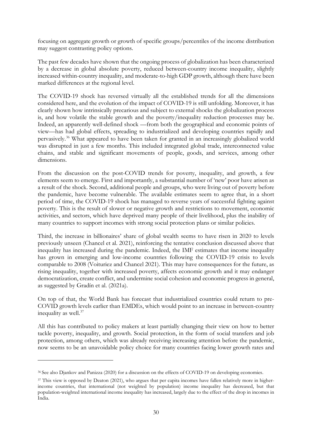focusing on aggregate growth or growth of specific groups/percentiles of the income distribution may suggest contrasting policy options.

The past few decades have shown that the ongoing process of globalization has been characterized by a decrease in global absolute poverty, reduced between-country income inequality, slightly increased within-country inequality, and moderate-to-high GDP growth, although there have been marked differences at the regional level.

The COVID-19 shock has reversed virtually all the established trends for all the dimensions considered here, and the evolution of the impact of COVID-19 is still unfolding. Moreover, it has clearly shown how intrinsically precarious and subject to external shocks the globalization process is, and how volatile the stable growth and the poverty/inequality reduction processes may be. Indeed, an apparently well-defined shock —from both the geographical and economic points of view—has had global effects, spreading to industrialized and developing countries rapidly and pervasively. [36](#page-31-0) What appeared to have been taken for granted in an increasingly globalized world was disrupted in just a few months. This included integrated global trade, interconnected value chains, and stable and significant movements of people, goods, and services, among other dimensions.

From the discussion on the post-COVID trends for poverty, inequality, and growth, a few elements seem to emerge. First and importantly, a substantial number of 'new' poor have arisen as a result of the shock. Second, additional people and groups, who were living out of poverty before the pandemic, have become vulnerable. The available estimates seem to agree that, in a short period of time, the COVID-19 shock has managed to reverse years of successful fighting against poverty. This is the result of slower or negative growth and restrictions to movement, economic activities, and sectors, which have deprived many people of their livelihood, plus the inability of many countries to support incomes with strong social protection plans or similar policies.

Third, the increase in billionaires' share of global wealth seems to have risen in 2020 to levels previously unseen (Chancel et al. 2021), reinforcing the tentative conclusion discussed above that inequality has increased during the pandemic. Indeed, the IMF estimates that income inequality has grown in emerging and low-income countries following the COVID-19 crisis to levels comparable to 2008 (Voituriez and Chancel 2021). This may have consequences for the future, as rising inequality, together with increased poverty, affects economic growth and it may endanger democratization, create conflict, and undermine social cohesion and economic progress in general, as suggested by Gradín et al. (2021a).

On top of that, the World Bank has forecast that industrialized countries could return to pre-COVID growth levels earlier than EMDEs, which would point to an increase in between-country inequality as well.<sup>[37](#page-31-1)</sup>

All this has contributed to policy makers at least partially changing their view on how to better tackle poverty, inequality, and growth. Social protection, in the form of social transfers and job protection, among others, which was already receiving increasing attention before the pandemic, now seems to be an unavoidable policy choice for many countries facing lower growth rates and

<span id="page-31-0"></span><sup>36</sup> See also Djankov and Panizza (2020) for a discussion on the effects of COVID-19 on developing economies.

<span id="page-31-1"></span><sup>&</sup>lt;sup>37</sup> This view is opposed by Deaton (2021), who argues that per capita incomes have fallen relatively more in higherincome countries, that international (not weighted by population) income inequality has decreased, but that population-weighted international income inequality has increased, largely due to the effect of the drop in incomes in India.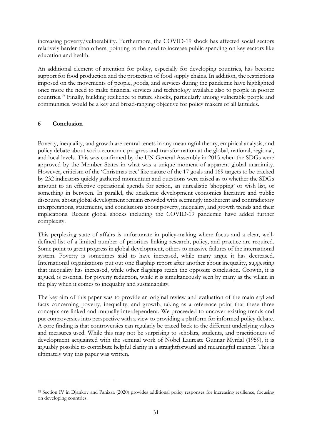increasing poverty/vulnerability. Furthermore, the COVID-19 shock has affected social sectors relatively harder than others, pointing to the need to increase public spending on key sectors like education and health.

An additional element of attention for policy, especially for developing countries, has become support for food production and the protection of food supply chains. In addition, the restrictions imposed on the movements of people, goods, and services during the pandemic have highlighted once more the need to make financial services and technology available also to people in poorer countries. [38](#page-32-0) Finally, building resilience to future shocks, particularly among vulnerable people and communities, would be a key and broad-ranging objective for policy makers of all latitudes.

# **6 Conclusion**

Poverty, inequality, and growth are central tenets in any meaningful theory, empirical analysis, and policy debate about socio-economic progress and transformation at the global, national, regional, and local levels. This was confirmed by the UN General Assembly in 2015 when the SDGs were approved by the Member States in what was a unique moment of apparent global unanimity. However, criticism of the 'Christmas tree' like nature of the 17 goals and 169 targets to be tracked by 232 indicators quickly gathered momentum and questions were raised as to whether the SDGs amount to an effective operational agenda for action, an unrealistic 'shopping' or wish list, or something in between. In parallel, the academic development economics literature and public discourse about global development remain crowded with seemingly incoherent and contradictory interpretations, statements, and conclusions about poverty, inequality, and growth trends and their implications. Recent global shocks including the COVID-19 pandemic have added further complexity.

This perplexing state of affairs is unfortunate in policy-making where focus and a clear, welldefined list of a limited number of priorities linking research, policy, and practice are required. Some point to great progress in global development, others to massive failures of the international system. Poverty is sometimes said to have increased, while many argue it has decreased. International organizations put out one flagship report after another about inequality, suggesting that inequality has increased, while other flagships reach the opposite conclusion. Growth, it is argued, is essential for poverty reduction, while it is simultaneously seen by many as the villain in the play when it comes to inequality and sustainability.

The key aim of this paper was to provide an original review and evaluation of the main stylized facts concerning poverty, inequality, and growth, taking as a reference point that these three concepts are linked and mutually interdependent. We proceeded to uncover existing trends and put controversies into perspective with a view to providing a platform for informed policy debate. A core finding is that controversies can regularly be traced back to the different underlying values and measures used. While this may not be surprising to scholars, students, and practitioners of development acquainted with the seminal work of Nobel Laureate Gunnar Myrdal (1959), it is arguably possible to contribute helpful clarity in a straightforward and meaningful manner. This is ultimately why this paper was written.

<span id="page-32-0"></span><sup>38</sup> Section IV in Djankov and Panizza (2020) provides additional policy responses for increasing resilience, focusing on developing countries.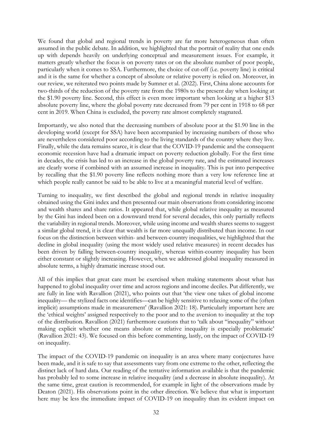We found that global and regional trends in poverty are far more heterogeneous than often assumed in the public debate. In addition, we highlighted that the portrait of reality that one ends up with depends heavily on underlying conceptual and measurement issues. For example, it matters greatly whether the focus is on poverty rates or on the absolute number of poor people, particularly when it comes to SSA. Furthermore, the choice of cut-off (i.e. poverty line) is critical and it is the same for whether a concept of absolute or relative poverty is relied on. Moreover, in our review, we reiterated two points made by Sumner et al. (2022). First, China alone accounts for two-thirds of the reduction of the poverty rate from the 1980s to the present day when looking at the \$1.90 poverty line. Second, this effect is even more important when looking at a higher \$13 absolute poverty line, where the global poverty rate decreased from 79 per cent in 1918 to 68 per cent in 2019. When China is excluded, the poverty rate almost completely stagnated.

Importantly, we also noted that the decreasing numbers of absolute poor at the \$1.90 line in the developing world (except for SSA) have been accompanied by increasing numbers of those who are nevertheless considered poor according to the living standards of the country where they live. Finally, while the data remains scarce, it is clear that the COVID-19 pandemic and the consequent economic recession have had a dramatic impact on poverty reduction globally. For the first time in decades, the crisis has led to an increase in the global poverty rate, and the estimated increases are clearly worse if combined with an assumed increase in inequality. This is put into perspective by recalling that the \$1.90 poverty line reflects nothing more than a very low reference line at which people really cannot be said to be able to live at a meaningful material level of welfare.

Turning to inequality, we first described the global and regional trends in relative inequality obtained using the Gini index and then presented our main observations from considering income and wealth shares and share ratios. It appeared that, while global relative inequality as measured by the Gini has indeed been on a downward trend for several decades, this only partially reflects the variability in regional trends. Moreover, while using income and wealth shares seems to suggest a similar global trend, it is clear that wealth is far more unequally distributed than income. In our focus on the distinction between within- and between-country inequalities, we highlighted that the decline in global inequality (using the most widely used relative measures) in recent decades has been driven by falling between-country inequality, whereas within-country inequality has been either constant or slightly increasing. However, when we addressed global inequality measured in absolute terms, a highly dramatic increase stood out.

All of this implies that great care must be exercised when making statements about what has happened to global inequality over time and across regions and income deciles. Put differently, we are fully in line with Ravallion (2021), who points out that 'the view one takes of global income inequality— the stylized facts one identifies—can be highly sensitive to relaxing some of the (often implicit) assumptions made in measurement' (Ravallion 2021: 18). Particularly important here are the 'ethical weights' assigned respectively to the poor and to the aversion to inequality at the top of the distribution. Ravallion (2021) furthermore cautions that to 'talk about "inequality" without making explicit whether one means absolute or relative inequality is especially problematic' (Ravallion 2021: 43). We focused on this before commenting, lastly, on the impact of COVID-19 on inequality.

The impact of the COVID-19 pandemic on inequality is an area where many conjectures have been made, and it is safe to say that assessments vary from one extreme to the other, reflecting the distinct lack of hard data. Our reading of the tentative information available is that the pandemic has probably led to some increase in relative inequality (and a decrease in absolute inequality). At the same time, great caution is recommended, for example in light of the observations made by Deaton (2021). His observations point in the other direction. We believe that what is important here may be less the immediate impact of COVID-19 on inequality than its evident impact on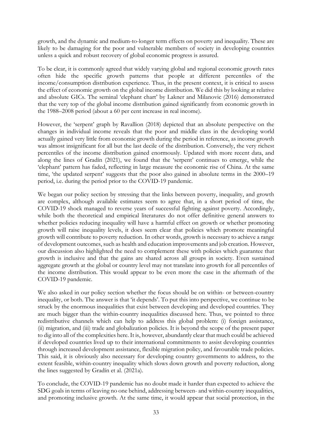growth, and the dynamic and medium-to-longer term effects on poverty and inequality. These are likely to be damaging for the poor and vulnerable members of society in developing countries unless a quick and robust recovery of global economic progress is assured.

To be clear, it is commonly agreed that widely varying global and regional economic growth rates often hide the specific growth patterns that people at different percentiles of the income/consumption distribution experience. Thus, in the present context, it is critical to assess the effect of economic growth on the global income distribution. We did this by looking at relative and absolute GICs. The seminal 'elephant chart' by Lakner and Milanovic (2016) demonstrated that the very top of the global income distribution gained significantly from economic growth in the 1988–2008 period (about a 60 per cent increase in real income).

However, the 'serpent' graph by Ravallion (2018) depicted that an absolute perspective on the changes in individual income reveals that the poor and middle class in the developing world actually gained very little from economic growth during the period in reference, as income growth was almost insignificant for all but the last decile of the distribution. Conversely, the very richest percentiles of the income distribution gained enormously. Updated with more recent data, and along the lines of Gradín (2021), we found that the 'serpent' continues to emerge, while the 'elephant' pattern has faded, reflecting in large measure the economic rise of China. At the same time, 'the updated serpent' suggests that the poor also gained in absolute terms in the 2000–19 period, i.e. during the period prior to the COVID-19 pandemic.

We began our policy section by stressing that the links between poverty, inequality, and growth are complex, although available estimates seem to agree that, in a short period of time, the COVID-19 shock managed to reverse years of successful fighting against poverty. Accordingly, while both the theoretical and empirical literatures do not offer definitive general answers to whether policies reducing inequality will have a harmful effect on growth or whether promoting growth will raise inequality levels, it does seem clear that policies which promote meaningful growth will contribute to poverty reduction. In other words, growth is necessary to achieve a range of development outcomes, such as health and education improvements and job creation. However, our discussion also highlighted the need to complement these with policies which guarantee that growth is inclusive and that the gains are shared across all groups in society. Even sustained aggregate growth at the global or country level may not translate into growth for all percentiles of the income distribution. This would appear to be even more the case in the aftermath of the COVID-19 pandemic.

We also asked in our policy section whether the focus should be on within- or between-country inequality, or both. The answer is that 'it depends'. To put this into perspective, we continue to be struck by the enormous inequalities that exist between developing and developed countries. They are much bigger than the within-country inequalities discussed here. Thus, we pointed to three redistributive channels which can help to address this global problem: (i) foreign assistance, (ii) migration, and (iii) trade and globalization policies. It is beyond the scope of the present paper to dig into all of the complexities here. It is, however, abundantly clear that much could be achieved if developed countries lived up to their international commitments to assist developing countries through increased development assistance, flexible migration policy, and favourable trade policies. This said, it is obviously also necessary for developing country governments to address, to the extent feasible, within-country inequality which slows down growth and poverty reduction, along the lines suggested by Gradín et al. (2021a).

To conclude, the COVID-19 pandemic has no doubt made it harder than expected to achieve the SDG goals in terms of leaving no one behind, addressing between- and within-country inequalities, and promoting inclusive growth. At the same time, it would appear that social protection, in the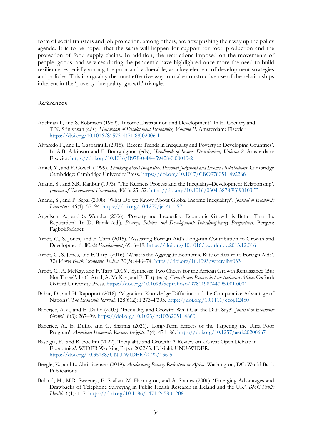form of social transfers and job protection, among others, are now pushing their way up the policy agenda. It is to be hoped that the same will happen for support for food production and the protection of food supply chains. In addition, the restrictions imposed on the movements of people, goods, and services during the pandemic have highlighted once more the need to build resilience, especially among the poor and vulnerable, as a key element of development strategies and policies. This is arguably the most effective way to make constructive use of the relationships inherent in the 'poverty–inequality–growth' triangle.

#### **References**

- Adelman I., and S. Robinson (1989). 'Income Distribution and Development'. In H. Chenery and T.N. Srinivasan (eds), *Handbook of Development Economics, Volume II*. Amsterdam: Elsevier. [https://doi.org/10.1016/S1573-4471\(89\)02006-1](https://doi.org/10.1016/S1573-4471(89)02006-1)
- Alvaredo F., and L. Gasparini L (2015). 'Recent Trends in Inequality and Poverty in Developing Countries'. In A.B. Atkinson and F. Bourguignon (eds), *Handbook of Income Distribution, Volume 2*. Amsterdam: Elsevier. <https://doi.org/10.1016/B978-0-444-59428-0.00010-2>
- Amiel, Y., and F. Cowell (1999). *Thinking about Inequality: Personal Judgment and Income Distributions*. Cambridge Cambridge: Cambridge University Press.<https://doi.org/10.1017/CBO9780511492266>
- Anand, S., and S.R. Kanbur (1993). 'The Kuznets Process and the Inequality–Development Relationship'. *Journal of Development Economics*, 40(1): 25–52. [https://doi.org/10.1016/0304-3878\(93\)90103-T](https://doi.org/10.1016/0304-3878(93)90103-T)
- Anand, S., and P. Segal (2008). 'What Do we Know About Global Income Inequality?'. *Journal of Economic Literature*, 46(1): 57–94. <https://doi.org/10.1257/jel.46.1.57>
- Angelsen, A., and S. Wunder (2006). 'Poverty and Inequality: Economic Growth is Better Than Its Reputation'. In D. Banik (ed.), *Poverty, Politics and Development: Interdisciplinary Perspectives*. Bergen: Fagbokforlaget.
- Arndt, C., S. Jones, and F. Tarp (2015). 'Assessing Foreign Aid's Long-run Contribution to Growth and Development'. *World Development*, 69: 6–18. <https://doi.org/10.1016/j.worlddev.2013.12.016>
- Arndt, C., S. Jones, and F. Tarp (2016). 'What is the Aggregate Economic Rate of Return to Foreign Aid?'. *The World Bank Economic Review*, 30(3): 446–74. <https://doi.org/10.1093/wber/lhv033>
- Arndt, C., A. McKay, and F. Tarp (2016). 'Synthesis: Two Cheers for the African Growth Renaissance (But Not Three)'. In C. Arnd, A. McKay, and F. Tarp (eds), *Growth and Poverty in Sub-Saharan Africa*. Oxford: Oxford University Press. <https://doi.org/10.1093/acprof:oso/9780198744795.001.0001>
- Bahar, D., and H. Rapoport (2018). 'Migration, Knowledge Diffusion and the Comparative Advantage of Nations'. *The Economic Journal*, 128(612): F273–F305. <https://doi.org/10.1111/ecoj.12450>
- Banerjee, A.V., and E. Duflo (2003). 'Inequality and Growth: What Can the Data Say?'. *Journal of Economic Growth*, 8(3): 267–99. <https://doi.org/10.1023/A:1026205114860>
- Banerjee, A., E. Duflo, and G. Sharma (2021). 'Long-Term Effects of the Targeting the Ultra Poor Program'. *American Economic Review: Insights*, 3(4): 471–86.<https://doi.org/10.1257/aeri.20200667>
- Baselgia, E., and R. Foellmi (2022). 'Inequality and Growth: A Review on a Great Open Debate in Economics'. WIDER Working Paper 2022/5. Helsinki: UNU-WIDER. <https://doi.org/10.35188/UNU-WIDER/2022/136-5>
- Beegle, K., and L. Christiaensen (2019). *Accelerating Poverty Reduction in Africa*. Washington, DC: World Bank Publications
- Boland, M., M.R. Sweeney, E. Scallan, M. Harrington, and A. Staines (2006). 'Emerging Advantages and Drawbacks of Telephone Surveying in Public Health Research in Ireland and the UK'. *BMC Public Health*, 6(1): 1–7. <https://doi.org/10.1186/1471-2458-6-208>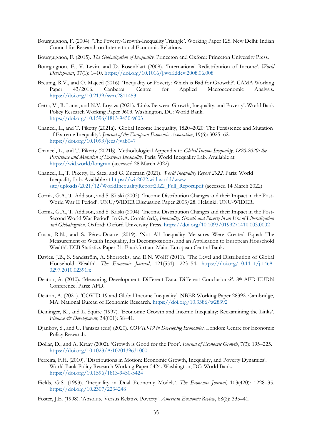- Bourguignon, F. (2004). 'The Poverty-Growth-Inequality Triangle'. Working Paper 125. New Delhi: Indian Council for Research on International Economic Relations.
- Bourguignon, F. (2015). *The Globalization of Inequality*. Princeton and Oxford: Princeton University Press.
- Bourguignon, F., V. Levin, and D. Rosenblatt (2009). 'International Redistribution of Income'. *World Development*, 37(1): 1–10. <https://doi.org/10.1016/j.worlddev.2008.06.008>
- Breunig, R.V., and O. Majeed (2016). 'Inequality or Poverty: Which is Bad for Growth?'. CAMA Working Paper 43/2016. Canberra: Centre for Applied Macroeconomic Analysis. <https://doi.org/10.2139/ssrn.2811453>
- Cerra, V., R. Lama, and N.V. Loyaza (2021). 'Links Between Growth, Inequality, and Poverty'. World Bank Policy Research Working Paper 9603. Washington, DC: World Bank. <https://doi.org/10.1596/1813-9450-9603>
- Chancel, L., and T. Piketty (2021a). 'Global Income Inequality, 1820–2020: The Persistence and Mutation of Extreme Inequality'. *Journal of the European Economic Association*, 19(6): 3025–62. <https://doi.org/10.1093/jeea/jvab047>
- Chancel, L., and T. Piketty (2021b). Methodological Appendix to *Global Income Inequality, 1820-2020: the Persistence and Mutation of Extreme Inequality*. Paris: World Inequality Lab. Available at <https://wid.world/longrun> (accessed 28 March 2022).
- Chancel, L., T. Piketty, E. Saez, and G. Zucman (2021). *World Inequality Report 2022*. Paris: World Inequality Lab. Available at [https://wir2022.wid.world/www](https://wir2022.wid.world/www-site/uploads/2021/12/WorldInequalityReport2022_Full_Report.pdf)[site/uploads/2021/12/WorldInequalityReport2022\\_Full\\_Report.pdf](https://wir2022.wid.world/www-site/uploads/2021/12/WorldInequalityReport2022_Full_Report.pdf) (accessed 14 March 2022)
- Cornia, G.A., T. Addison, and S. Kiiski (2003). 'Income Distribution Changes and their Impact in the Post-World War II Period'. UNU/WIDER Discussion Paper 2003/28. Helsinki: UNU-WIDER.
- Cornia, G.A., T. Addison, and S. Kiiski (2004). 'Income Distribution Changes and their Impact in the Post-Second World War Period'. In G.A. Cornia (ed.), *Inequality, Growth and Poverty in an Era of Liberalization and Globalization*. Oxford: Oxford University Press. <https://doi.org/10.1093/0199271410.003.0002>
- Costa, R.N., and S. Pérez-Duarte (2019). 'Not All Inequality Measures Were Created Equal: The Measurement of Wealth Inequality, Its Decompositions, and an Application to European Household Wealth'. ECB Statistics Paper 31. Frankfurt am Main: European Central Bank.
- Davies. J.B., S. Sandström, A. Shorrocks, and E.N. Wolff (2011). 'The Level and Distribution of Global Household Wealth'. *The Economic Journal*, 121(551): 223–54. [https://doi.org/10.1111/j.1468-](https://doi.org/10.1111/j.1468-0297.2010.02391.x) [0297.2010.02391.x](https://doi.org/10.1111/j.1468-0297.2010.02391.x)
- Deaton, A. (2010). 'Measuring Development: Different Data, Different Conclusions?'. 8<sup>th</sup> AFD-EUDN Conference. Paris: AFD.
- Deaton, A. (2021). 'COVID-19 and Global Income Inequality'. NBER Working Paper 28392. Cambridge, MA: National Bureau of Economic Research.<https://doi.org/10.3386/w28392>
- Deininger, K., and L. Squire (1997). 'Economic Growth and Income Inequality: Reexamining the Links'. *Finance & Development*, 34(001): 38–41.
- Djankov, S., and U. Panizza (eds) (2020). *COVID-19 in Developing Economies*. London: Centre for Economic Policy Research.
- Dollar, D., and A. Kraay (2002). 'Growth is Good for the Poor'. *Journal of Economic Growth*, 7(3): 195–225. <https://doi.org/10.1023/A:1020139631000>
- Ferreira, F.H. (2010). 'Distributions in Motion: Economic Growth, Inequality, and Poverty Dynamics'. World Bank Policy Research Working Paper 5424. Washington, DC: World Bank. <https://doi.org/10.1596/1813-9450-5424>
- Fields, G.S. (1993). 'Inequality in Dual Economy Models'. *The Economic Journal*, 103(420): 1228–35. <https://doi.org/10.2307/2234248>
- Foster, J.E. (1998). 'Absolute Versus Relative Poverty'. *American Economic Review*, 88(2): 335–41.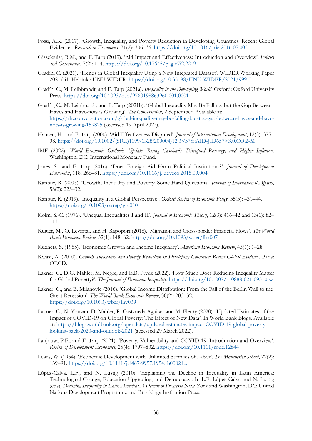- Fosu, A.K. (2017). 'Growth, Inequality, and Poverty Reduction in Developing Countries: Recent Global Evidence'. *Research in Economics*, 71(2): 306–36. <https://doi.org/10.1016/j.rie.2016.05.005>
- Gisselquist, R.M., and F. Tarp (2019). 'Aid Impact and Effectiveness: Introduction and Overview'. *Politics and Governance*, 7(2): 1–4. <https://doi.org/10.17645/pag.v7i2.2219>
- Gradín, C. (2021). 'Trends in Global Inequality Using a New Integrated Dataset'. WIDER Working Paper 2021/61. Helsinki: UNU-WIDER. <https://doi.org/10.35188/UNU-WIDER/2021/999-0>
- Gradín, C., M. Leibbrandt, and F. Tarp (2021a). *Inequality in the Developing World*. Oxford: Oxford University Press. <https://doi.org/10.1093/oso/9780198863960.001.0001>
- Gradín, C., M. Leibbrandt, and F. Tarp (2021b). 'Global Inequality May Be Falling, but the Gap Between Haves and Have-nots is Growing'. *The Conversation*, 2 September. Available at: [https://theconversation.com/global-inequality-may-be-falling-but-the-gap-between-haves-and-have](https://theconversation.com/global-inequality-may-be-falling-but-the-gap-between-haves-and-have-nots-is-growing-159825)[nots-is-growing-159825](https://theconversation.com/global-inequality-may-be-falling-but-the-gap-between-haves-and-have-nots-is-growing-159825) (accessed 19 April 2022).
- Hansen, H., and F. Tarp (2000). 'Aid Effectiveness Disputed'. *Journal of International Development*, 12(3): 375– 98. [https://doi.org/10.1002/\(SICI\)1099-1328\(200004\)12:3<375::AID-JID657>3.0.CO;2-M](https://doi.org/10.1002/(SICI)1099-1328(200004)12:3%3C375::AID-JID657%3E3.0.CO;2-M)
- IMF (2022). *World Economic Outlook. Update. Rising Caseloads, Disrupted Recovery, and Higher Inflation*. Washington, DC: International Monetary Fund.
- Jones, S., and F. Tarp (2016). 'Does Foreign Aid Harm Political Institutions?'. *Journal of Development Economics*, 118: 266–81. <https://doi.org/10.1016/j.jdeveco.2015.09.004>
- Kanbur, R. (2005). 'Growth, Inequality and Poverty: Some Hard Questions'. *Journal of International Affairs*, 58(2): 223–32.
- Kanbur, R. (2019). 'Inequality in a Global Perspective'. *Oxford Review of Economic Policy*, 35(3): 431–44. <https://doi.org/10.1093/oxrep/grz010>
- Kolm, S.-C. (1976). 'Unequal Inequalities I and II'. *Journal of Economic Theory*, 12(3): 416–42 and 13(1): 82– 111.
- Kugler, M., O. Levintal, and H. Rapoport (2018). 'Migration and Cross-border Financial Flows'. *The World Bank Economic Review*, 32(1): 148–62. <https://doi.org/10.1093/wber/lhx007>
- Kuznets, S. (1955). 'Economic Growth and Income Inequality'. *American Economic Review*, 45(1): 1–28.
- Kwasi, A. (2010). *Growth, Inequality and Poverty Reduction in Developing Countries: Recent Global Evidence*. Paris: OECD.
- Lakner, C., D.G. Mahler, M. Negre, and E.B. Prydz (2022). 'How Much Does Reducing Inequality Matter for Global Poverty?'. *The Journal of Economic Inequality*.<https://doi.org/10.1007/s10888-021-09510-w>
- Lakner, C., and B. Milanovic (2016). 'Global Income Distribution: From the Fall of the Berlin Wall to the Great Recession'. *The World Bank Economic Review*, 30(2): 203–32. <https://doi.org/10.1093/wber/lhv039>
- Lakner, C., N. Yonzan, D. Mahler, R. Castañeda Aguilar, and M. Fleury (2020). 'Updated Estimates of the Impact of COVID-19 on Global Poverty: The Effect of New Data'. In World Bank Blogs. Available at: [https://blogs.worldbank.org/opendata/updated-estimates-impact-COVID-19-global-poverty](https://blogs.worldbank.org/opendata/updated-estimates-impact-covid-19-global-poverty-looking-back-2020-and-outlook-2021.)[looking-back-2020-and-outlook-2021](https://blogs.worldbank.org/opendata/updated-estimates-impact-covid-19-global-poverty-looking-back-2020-and-outlook-2021.) (accessed 29 March 2022).
- Lanjouw, P.F., and F. Tarp (2021). 'Poverty, Vulnerability and COVID-19: Introduction and Overview'. *Review of Development Economics*, 25(4): 1797–802. <https://doi.org/10.1111/rode.12844>
- Lewis, W. (1954). 'Economic Development with Unlimited Supplies of Labor'. *The Manchester School*, 22(2): 139–91. <https://doi.org/10.1111/j.1467-9957.1954.tb00021.x>
- López-Calva, L.F., and N. Lustig (2010). 'Explaining the Decline in Inequality in Latin America: Technological Change, Education Upgrading, and Democracy'. In L.F. López-Calva and N. Lustig (eds), *Declining Inequality in Latin America: A Decade of Progress?* New York and Washington, DC: United Nations Development Programme and Brookings Institution Press.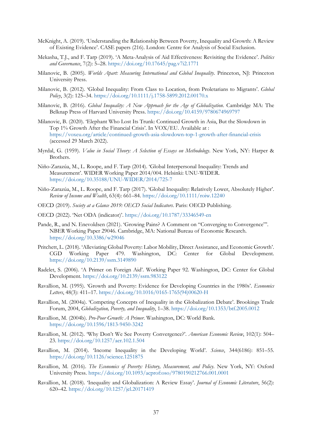- McKnight, A. (2019). 'Understanding the Relationship Between Poverty, Inequality and Growth: A Review of Existing Evidence'. CASE papers (216). London: Centre for Analysis of Social Exclusion.
- Mekasha, T.J., and F. Tarp (2019). 'A Meta-Analysis of Aid Effectiveness: Revisiting the Evidence'. *Politics and Governance*, 7(2): 5–28. <https://doi.org/10.17645/pag.v7i2.1771>
- Milanovic, B. (2005). *Worlds Apart: Measuring International and Global Inequality*. Princeton, NJ: Princeton University Press.
- Milanovic, B. (2012). 'Global Inequality: From Class to Location, from Proletarians to Migrants'. *Global Policy*, 3(2): 125–34. <https://doi.org/10.1111/j.1758-5899.2012.00170.x>
- Milanovic, B. (2016). *Global Inequality: A New Approach for the Age of Globalization*. Cambridge MA: The Belknap Press of Harvard University Press. <https://doi.org/10.4159/9780674969797>
- Milanovic, B. (2020). 'Elephant Who Lost Its Trunk: Continued Growth in Asia, But the Slowdown in Top 1% Growth After the Financial Crisis'. In VOX/EU. Available at : [https://voxeu.org/article/continued-growth-asia-slowdown-top-1-growth-after-financial-crisis](https://voxeu.org/article/continued-growth-asia-slowdown-top-1-growth-after-financial-crisis.) (accessed 29 March 2022).
- Myrdal, G. (1959). *Value in Social Theory: A Selection of Essays on Methodology*. New York, NY: Harper & Brothers.
- Niño-Zarazúa, M., L. Roope, and F. Tarp (2014). 'Global Interpersonal Inequality: Trends and Measurement'. WIDER Working Paper 2014/004. Helsinki: UNU-WIDER. <https://doi.org/10.35188/UNU-WIDER/2014/725-7>
- Niño-Zarazúa, M., L. Roope, and F. Tarp (2017). 'Global Inequality: Relatively Lower, Absolutely Higher'. *Review of Income and Wealth*, 63(4): 661–84. <https://doi.org/10.1111/roiw.12240>
- OECD (2019). *Society at a Glance 2019: OECD Social Indicators*. Paris: OECD Publishing.
- OECD (2022). 'Net ODA (indicator)'.<https://doi.org/10.1787/33346549-en>
- Pande, R., and N. Enevoldsen (2021). 'Growing Pains? A Comment on "Converging to Convergence"'. NBER Working Paper 29046. Cambridge, MA: National Bureau of Economic Research. <https://doi.org/10.3386/w29046>
- Pritchett, L. (2018). 'Alleviating Global Poverty: Labor Mobility, Direct Assistance, and Economic Growth'. CGD Working Paper 479. Washington, DC: Center for Global Development. <https://doi.org/10.2139/ssrn.3149890>
- Radelet, S. (2006). 'A Primer on Foreign Aid'. Working Paper 92. Washington, DC: Center for Global Development. <https://doi.org/10.2139/ssrn.983122>
- Ravallion, M. (1995). 'Growth and Poverty: Evidence for Developing Countries in the 1980s'. *Economics Letters*, 48(3): 411–17. [https://doi.org/10.1016/0165-1765\(94\)00620-H](https://doi.org/10.1016/0165-1765(94)00620-H)
- Ravallion, M. (2004a). 'Competing Concepts of Inequality in the Globalization Debate'. Brookings Trade Forum, 2004, *Globalization, Poverty, and Inequality*, 1–38. <https://doi.org/10.1353/btf.2005.0012>
- Ravallion, M. (2004b). *Pro-Poor Growth: A Primer*. Washington, DC: World Bank. <https://doi.org/10.1596/1813-9450-3242>
- Ravallion, M. (2012). 'Why Don't We See Poverty Convergence?'. *American Economic Review*, 102(1): 504– 23. <https://doi.org/10.1257/aer.102.1.504>
- Ravallion, M. (2014). 'Income Inequality in the Developing World'. *Science*, 344(6186): 851–55. <https://doi.org/10.1126/science.1251875>
- Ravallion, M. (2016). *The Economics of Poverty: History, Measurement, and Policy*. New York, NY: Oxford University Press. <https://doi.org/10.1093/acprof:oso/9780190212766.001.0001>
- Ravallion, M. (2018). 'Inequality and Globalization: A Review Essay'. *Journal of Economic Literature*, 56(2): 620–42. <https://doi.org/10.1257/jel.20171419>